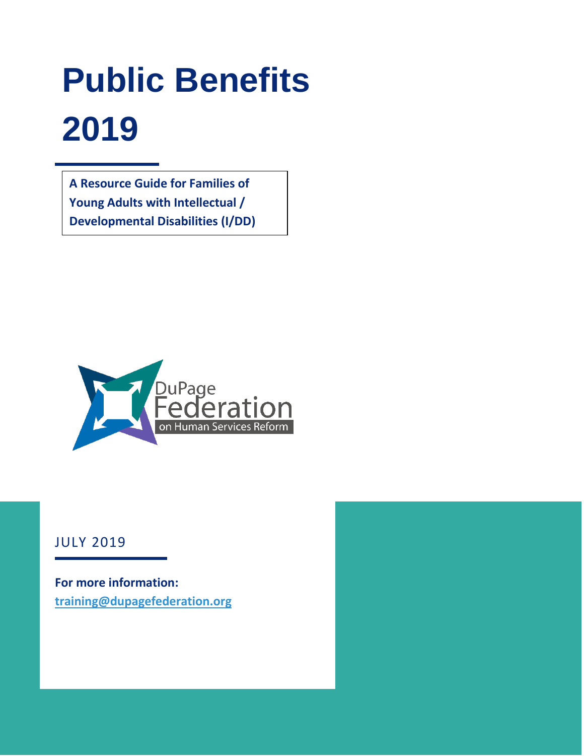# **Public Benefits 2019**

**A Resource Guide for Families of Young Adults with Intellectual / Developmental Disabilities (I/DD)**



JULY 2019

**For more information: [training@dupagefederation.org](mailto:training@dupagefederation.org)**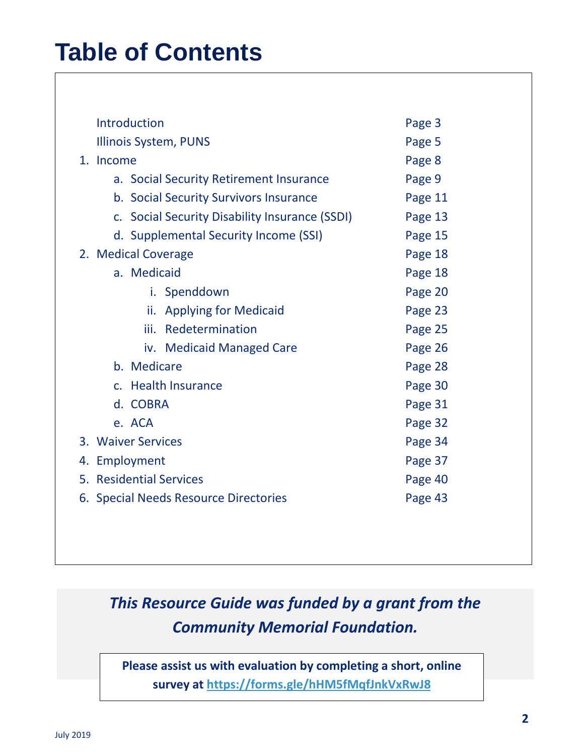# **Table of Contents**

| Introduction                                     | Page 3  |  |
|--------------------------------------------------|---------|--|
| <b>Illinois System, PUNS</b>                     | Page 5  |  |
| 1. Income                                        | Page 8  |  |
| a. Social Security Retirement Insurance          | Page 9  |  |
| b. Social Security Survivors Insurance           | Page 11 |  |
| c. Social Security Disability Insurance (SSDI)   | Page 13 |  |
| d. Supplemental Security Income (SSI)            | Page 15 |  |
| 2. Medical Coverage                              | Page 18 |  |
| a. Medicaid                                      | Page 18 |  |
| i. Spenddown                                     | Page 20 |  |
| <b>Applying for Medicaid</b><br>ii.              | Page 23 |  |
| Redetermination<br>iii.                          | Page 25 |  |
| iv. Medicaid Managed Care                        | Page 26 |  |
| b. Medicare                                      | Page 28 |  |
| c. Health Insurance                              | Page 30 |  |
| d. COBRA                                         | Page 31 |  |
| e. ACA                                           | Page 32 |  |
| 3. Waiver Services                               | Page 34 |  |
| 4. Employment                                    | Page 37 |  |
| 5. Residential Services<br>Page 40               |         |  |
| Page 43<br>6. Special Needs Resource Directories |         |  |
|                                                  |         |  |

## *This Resource Guide was funded by a grant from the Community Memorial Foundation.*

**Please assist us with evaluation by completing a short, online survey at<https://forms.gle/hHM5fMqfJnkVxRwJ8>**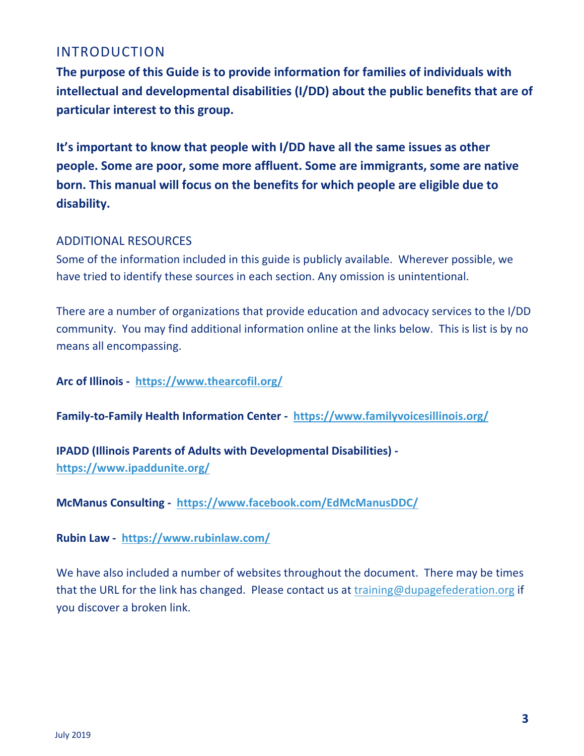#### INTRODUCTION

**The purpose of this Guide is to provide information for families of individuals with intellectual and developmental disabilities (I/DD) about the public benefits that are of particular interest to this group.** 

**It's important to know that people with I/DD have all the same issues as other people. Some are poor, some more affluent. Some are immigrants, some are native born. This manual will focus on the benefits for which people are eligible due to disability.** 

#### ADDITIONAL RESOURCES

Some of the information included in this guide is publicly available. Wherever possible, we have tried to identify these sources in each section. Any omission is unintentional.

There are a number of organizations that provide education and advocacy services to the I/DD community. You may find additional information online at the links below. This is list is by no means all encompassing.

**Arc of Illinois - <https://www.thearcofil.org/>**

**Family-to-Family Health Information Center - <https://www.familyvoicesillinois.org/>**

**IPADD (Illinois Parents of Adults with Developmental Disabilities) <https://www.ipaddunite.org/>**

**McManus Consulting - <https://www.facebook.com/EdMcManusDDC/>**

**Rubin Law - <https://www.rubinlaw.com/>**

We have also included a number of websites throughout the document. There may be times that the URL for the link has changed. Please contact us at [training@dupagefederation.org](mailto:training@dupagefederation.org) if you discover a broken link.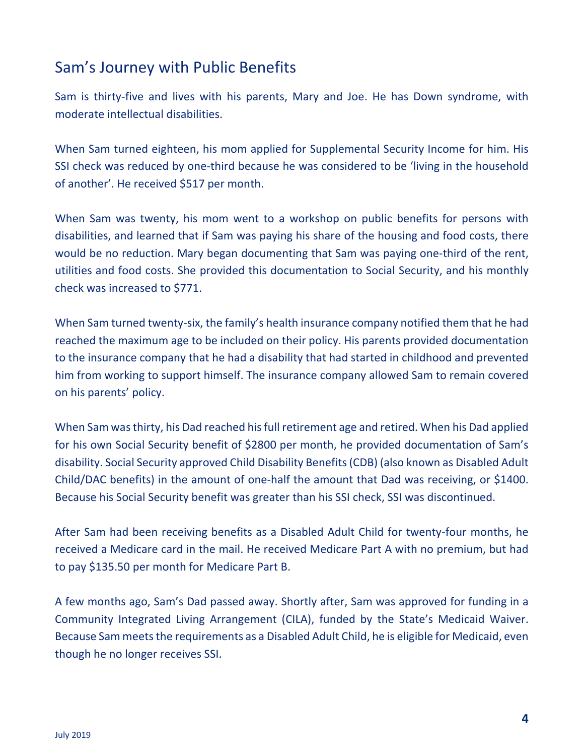## Sam's Journey with Public Benefits

Sam is thirty-five and lives with his parents, Mary and Joe. He has Down syndrome, with moderate intellectual disabilities.

When Sam turned eighteen, his mom applied for Supplemental Security Income for him. His SSI check was reduced by one-third because he was considered to be 'living in the household of another'. He received \$517 per month.

When Sam was twenty, his mom went to a workshop on public benefits for persons with disabilities, and learned that if Sam was paying his share of the housing and food costs, there would be no reduction. Mary began documenting that Sam was paying one-third of the rent, utilities and food costs. She provided this documentation to Social Security, and his monthly check was increased to \$771.

When Sam turned twenty-six, the family's health insurance company notified them that he had reached the maximum age to be included on their policy. His parents provided documentation to the insurance company that he had a disability that had started in childhood and prevented him from working to support himself. The insurance company allowed Sam to remain covered on his parents' policy.

When Sam was thirty, his Dad reached his full retirement age and retired. When his Dad applied for his own Social Security benefit of \$2800 per month, he provided documentation of Sam's disability. Social Security approved Child Disability Benefits (CDB) (also known as Disabled Adult Child/DAC benefits) in the amount of one-half the amount that Dad was receiving, or \$1400. Because his Social Security benefit was greater than his SSI check, SSI was discontinued.

After Sam had been receiving benefits as a Disabled Adult Child for twenty-four months, he received a Medicare card in the mail. He received Medicare Part A with no premium, but had to pay \$135.50 per month for Medicare Part B.

A few months ago, Sam's Dad passed away. Shortly after, Sam was approved for funding in a Community Integrated Living Arrangement (CILA), funded by the State's Medicaid Waiver. Because Sam meets the requirements as a Disabled Adult Child, he is eligible for Medicaid, even though he no longer receives SSI.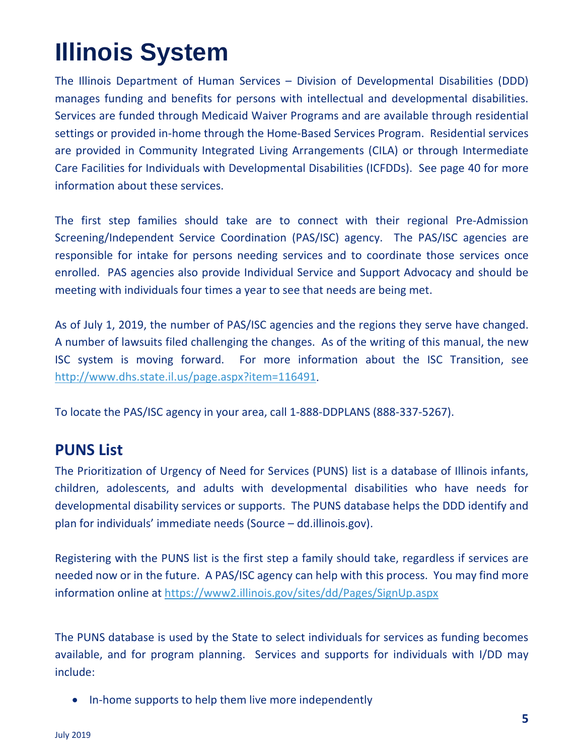# **Illinois System**

The Illinois Department of Human Services – Division of Developmental Disabilities (DDD) manages funding and benefits for persons with intellectual and developmental disabilities. Services are funded through Medicaid Waiver Programs and are available through residential settings or provided in-home through the Home-Based Services Program. Residential services are provided in Community Integrated Living Arrangements (CILA) or through Intermediate Care Facilities for Individuals with Developmental Disabilities (ICFDDs). See page 40 for more information about these services.

The first step families should take are to connect with their regional Pre-Admission Screening/Independent Service Coordination (PAS/ISC) agency. The PAS/ISC agencies are responsible for intake for persons needing services and to coordinate those services once enrolled. PAS agencies also provide Individual Service and Support Advocacy and should be meeting with individuals four times a year to see that needs are being met.

As of July 1, 2019, the number of PAS/ISC agencies and the regions they serve have changed. A number of lawsuits filed challenging the changes. As of the writing of this manual, the new ISC system is moving forward. For more information about the ISC Transition, see [http://www.dhs.state.il.us/page.aspx?item=116491.](http://www.dhs.state.il.us/page.aspx?item=116491)

To locate the PAS/ISC agency in your area, call 1-888-DDPLANS (888-337-5267).

#### **PUNS List**

The Prioritization of Urgency of Need for Services (PUNS) list is a database of Illinois infants, children, adolescents, and adults with developmental disabilities who have needs for developmental disability services or supports. The PUNS database helps the DDD identify and plan for individuals' immediate needs (Source – dd.illinois.gov).

Registering with the PUNS list is the first step a family should take, regardless if services are needed now or in the future. A PAS/ISC agency can help with this process. You may find more information online at<https://www2.illinois.gov/sites/dd/Pages/SignUp.aspx>

The PUNS database is used by the State to select individuals for services as funding becomes available, and for program planning. Services and supports for individuals with I/DD may include:

• In-home supports to help them live more independently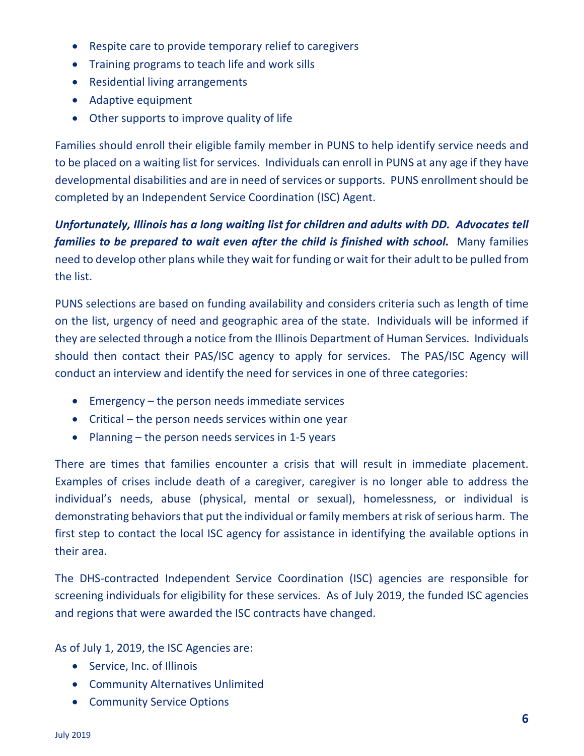- Respite care to provide temporary relief to caregivers
- Training programs to teach life and work sills
- Residential living arrangements
- Adaptive equipment
- Other supports to improve quality of life

Families should enroll their eligible family member in PUNS to help identify service needs and to be placed on a waiting list for services. Individuals can enroll in PUNS at any age if they have developmental disabilities and are in need of services or supports. PUNS enrollment should be completed by an Independent Service Coordination (ISC) Agent.

*Unfortunately, Illinois has a long waiting list for children and adults with DD. Advocates tell families to be prepared to wait even after the child is finished with school.* **Many families** need to develop other plans while they wait for funding or wait for their adult to be pulled from the list.

PUNS selections are based on funding availability and considers criteria such as length of time on the list, urgency of need and geographic area of the state. Individuals will be informed if they are selected through a notice from the Illinois Department of Human Services. Individuals should then contact their PAS/ISC agency to apply for services. The PAS/ISC Agency will conduct an interview and identify the need for services in one of three categories:

- Emergency the person needs immediate services
- Critical the person needs services within one year
- Planning the person needs services in 1-5 years

There are times that families encounter a crisis that will result in immediate placement. Examples of crises include death of a caregiver, caregiver is no longer able to address the individual's needs, abuse (physical, mental or sexual), homelessness, or individual is demonstrating behaviors that put the individual or family members at risk of serious harm. The first step to contact the local ISC agency for assistance in identifying the available options in their area.

The DHS-contracted Independent Service Coordination (ISC) agencies are responsible for screening individuals for eligibility for these services. As of July 2019, the funded ISC agencies and regions that were awarded the ISC contracts have changed.

As of July 1, 2019, the ISC Agencies are:

- Service, Inc. of Illinois
- Community Alternatives Unlimited
- Community Service Options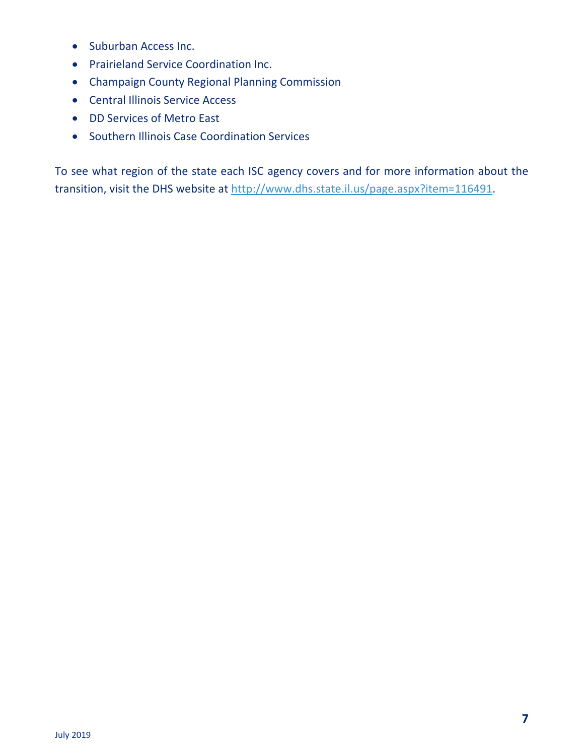- Suburban Access Inc.
- Prairieland Service Coordination Inc.
- Champaign County Regional Planning Commission
- Central Illinois Service Access
- DD Services of Metro East
- Southern Illinois Case Coordination Services

To see what region of the state each ISC agency covers and for more information about the transition, visit the DHS website at [http://www.dhs.state.il.us/page.aspx?item=116491.](http://www.dhs.state.il.us/page.aspx?item=116491)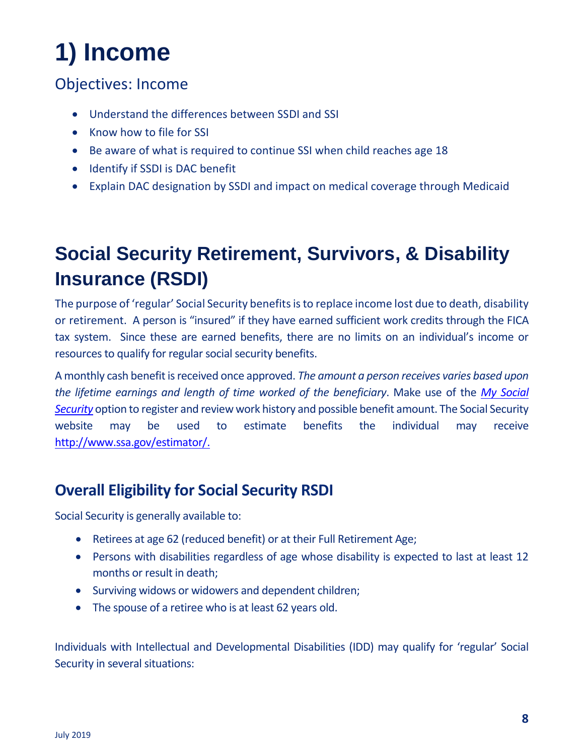# **1) Income**

## Objectives: Income

- Understand the differences between SSDI and SSI
- Know how to file for SSI
- Be aware of what is required to continue SSI when child reaches age 18
- Identify if SSDI is DAC benefit
- Explain DAC designation by SSDI and impact on medical coverage through Medicaid

# **Social Security Retirement, Survivors, & Disability Insurance (RSDI)**

The purpose of 'regular' Social Security benefits is to replace income lost due to death, disability or retirement. A person is "insured" if they have earned sufficient work credits through the FICA tax system. Since these are earned benefits, there are no limits on an individual's income or resources to qualify for regular social security benefits.

A monthly cash benefit is received once approved. *The amount a person receives varies based upon the lifetime earnings and length of time worked of the beneficiary*. Make use of the *[My Social](https://www.ssa.gov/myaccount/)  [Security](https://www.ssa.gov/myaccount/)* option to register and review work history and possible benefit amount. The Social Security website may be used to estimate benefits the individual may receive [http://www.ssa.gov/estimator/.](http://www.ssa.gov/estimator/)

## **Overall Eligibility for Social Security RSDI**

Social Security is generally available to:

- Retirees at age 62 (reduced benefit) or at their Full Retirement Age;
- Persons with disabilities regardless of age whose disability is expected to last at least 12 months or result in death;
- Surviving widows or widowers and dependent children;
- The spouse of a retiree who is at least 62 years old.

Individuals with Intellectual and Developmental Disabilities (IDD) may qualify for 'regular' Social Security in several situations: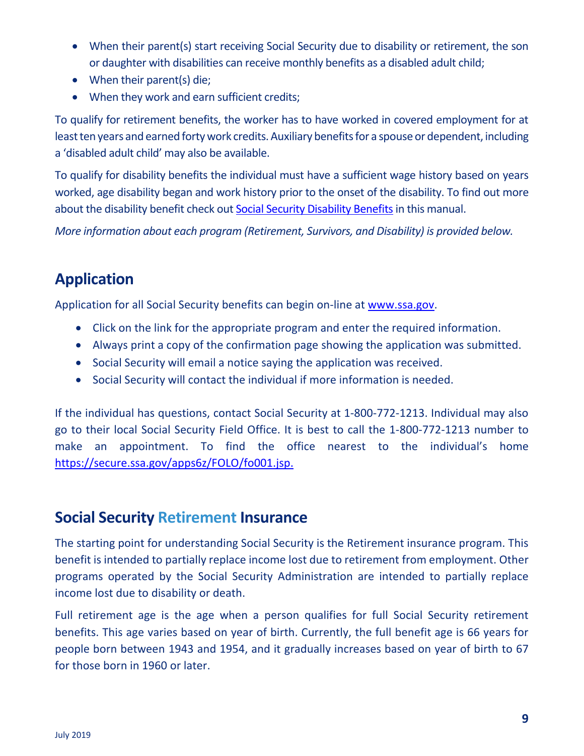- When their parent(s) start receiving Social Security due to disability or retirement, the son or daughter with disabilities can receive monthly benefits as a disabled adult child;
- When their parent(s) die;
- When they work and earn sufficient credits;

To qualify for retirement benefits, the worker has to have worked in covered employment for at least ten years and earned forty work credits. Auxiliary benefits for a spouse or dependent, including a 'disabled adult child' may also be available.

To qualify for disability benefits the individual must have a sufficient wage history based on years worked, age disability began and work history prior to the onset of the disability. To find out more about the disability benefit check out Social Security Disability Benefits in this manual.

*More information about each program (Retirement, Survivors, and Disability) is provided below.*

## **Application**

Application for all Social Security benefits can begin on-line at [www.ssa.gov.](http://www.ssa.gov/)

- Click on the link for the appropriate program and enter the required information.
- Always print a copy of the confirmation page showing the application was submitted.
- Social Security will email a notice saying the application was received.
- Social Security will contact the individual if more information is needed.

If the individual has questions, contact Social Security at 1-800-772-1213. Individual may also go to their local Social Security Field Office. It is best to call the 1-800-772-1213 number to make an appointment. To find the office nearest to the individual's home [https://secure.ssa.gov/apps6z/FOLO/fo001.jsp.](https://secure.ssa.gov/apps6z/FOLO/fo001.jsp)

### **Social Security Retirement Insurance**

The starting point for understanding Social Security is the Retirement insurance program. This benefit is intended to partially replace income lost due to retirement from employment. Other programs operated by the Social Security Administration are intended to partially replace income lost due to disability or death.

Full retirement age is the age when a person qualifies for full Social Security retirement benefits. This age varies based on year of birth. Currently, the full benefit age is 66 years for people born between 1943 and 1954, and it gradually increases based on year of birth to 67 for those born in 1960 or later.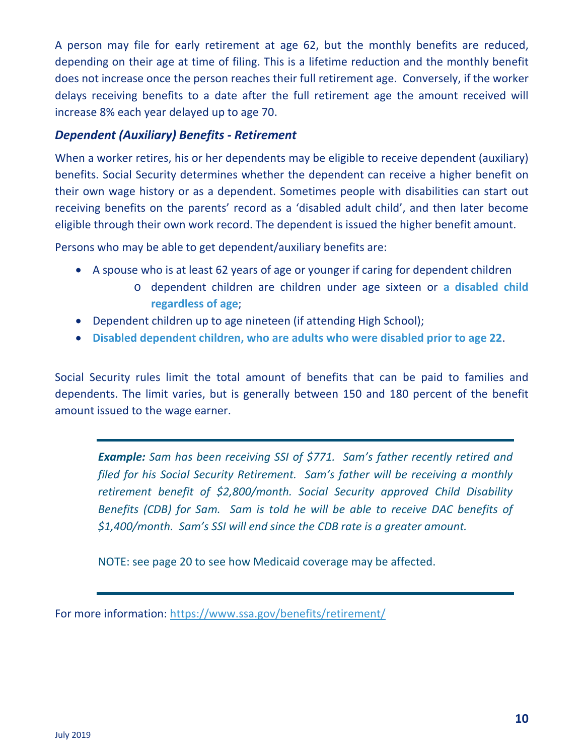A person may file for early retirement at age 62, but the monthly benefits are reduced, depending on their age at time of filing. This is a lifetime reduction and the monthly benefit does not increase once the person reaches their full retirement age. Conversely, if the worker delays receiving benefits to a date after the full retirement age the amount received will increase 8% each year delayed up to age 70.

#### *Dependent (Auxiliary) Benefits - Retirement*

When a worker retires, his or her dependents may be eligible to receive dependent (auxiliary) benefits. Social Security determines whether the dependent can receive a higher benefit on their own wage history or as a dependent. Sometimes people with disabilities can start out receiving benefits on the parents' record as a 'disabled adult child', and then later become eligible through their own work record. The dependent is issued the higher benefit amount.

Persons who may be able to get dependent/auxiliary benefits are:

- A spouse who is at least 62 years of age or younger if caring for dependent children
	- o dependent children are children under age sixteen or **a disabled child regardless of age**;
- Dependent children up to age nineteen (if attending High School);
- **Disabled dependent children, who are adults who were disabled prior to age 22**.

Social Security rules limit the total amount of benefits that can be paid to families and dependents. The limit varies, but is generally between 150 and 180 percent of the benefit amount issued to the wage earner.

*Example: Sam has been receiving SSI of \$771. Sam's father recently retired and filed for his Social Security Retirement. Sam's father will be receiving a monthly retirement benefit of \$2,800/month. Social Security approved Child Disability Benefits (CDB) for Sam. Sam is told he will be able to receive DAC benefits of \$1,400/month. Sam's SSI will end since the CDB rate is a greater amount.*

NOTE: see page 20 to see how Medicaid coverage may be affected.

For more information: <https://www.ssa.gov/benefits/retirement/>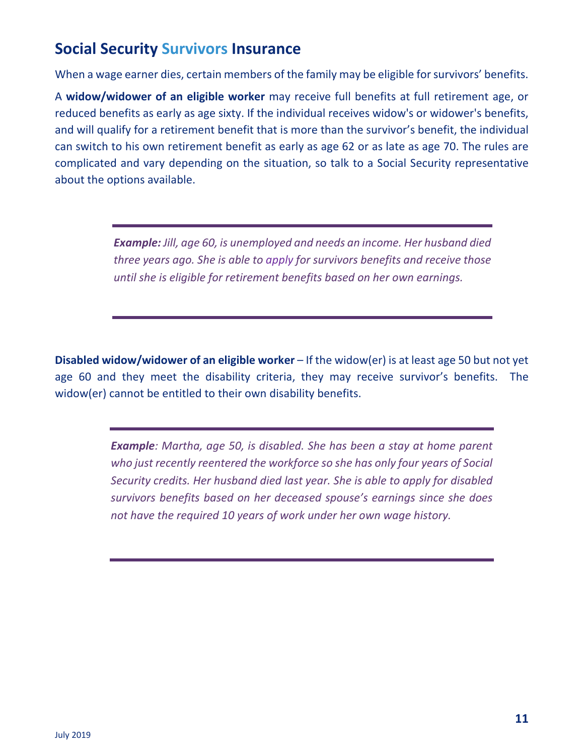## **Social Security Survivors Insurance**

When a wage earner dies, certain members of the family may be eligible for survivors' benefits.

A **widow/widower of an eligible worker** may receive full benefits at full retirement age, or reduced benefits as early as age sixty. If the individual receives widow's or widower's benefits, and will qualify for a retirement benefit that is more than the survivor's benefit, the individual can switch to his own retirement benefit as early as age 62 or as late as age 70. The rules are complicated and vary depending on the situation, so talk to a Social Security representative about the options available.

> *Example: Jill, age 60, is unemployed and needs an income. Her husband died three years ago. She is able to apply for survivors benefits and receive those until she is eligible for retirement benefits based on her own earnings.*

**Disabled widow/widower of an eligible worker** – If the widow(er) is at least age 50 but not yet age 60 and they meet the disability criteria, they may receive survivor's benefits. The widow(er) cannot be entitled to their own disability benefits.

> *Example: Martha, age 50, is disabled. She has been a stay at home parent who just recently reentered the workforce so she has only four years of Social Security credits. Her husband died last year. She is able to apply for disabled survivors benefits based on her deceased spouse's earnings since she does not have the required 10 years of work under her own wage history.*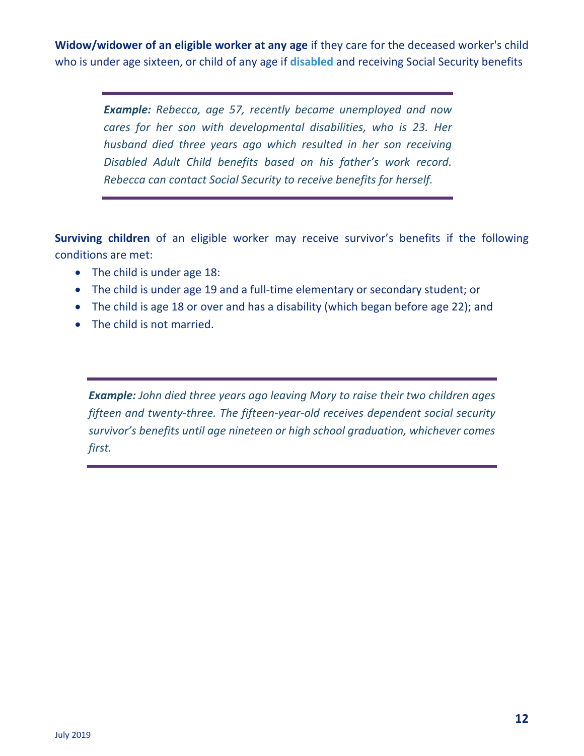**Widow/widower of an eligible worker at any age** if they care for the deceased worker's child who is under age sixteen, or child of any age if **disabled** and receiving Social Security benefits

> *Example: Rebecca, age 57, recently became unemployed and now cares for her son with developmental disabilities, who is 23. Her husband died three years ago which resulted in her son receiving Disabled Adult Child benefits based on his father's work record. Rebecca can contact Social Security to receive benefits for herself.*

**Surviving children** of an eligible worker may receive survivor's benefits if the following conditions are met:

- The child is under age 18:
- The child is under age 19 and a full-time elementary or secondary student; or
- The child is age 18 or over and has a disability (which began before age 22); and
- The child is not married.

*Example: John died three years ago leaving Mary to raise their two children ages fifteen and twenty-three. The fifteen-year-old receives dependent social security survivor's benefits until age nineteen or high school graduation, whichever comes first.*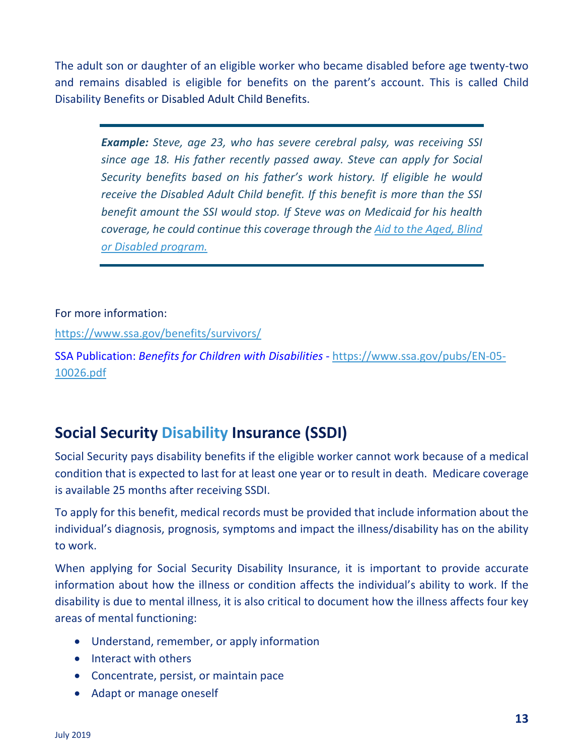The adult son or daughter of an eligible worker who became disabled before age twenty-two and remains disabled is eligible for benefits on the parent's account. This is called Child Disability Benefits or Disabled Adult Child Benefits.

*Example: Steve, age 23, who has severe cerebral palsy, was receiving SSI since age 18. His father recently passed away. Steve can apply for Social Security benefits based on his father's work history. If eligible he would receive the Disabled Adult Child benefit. If this benefit is more than the SSI benefit amount the SSI would stop. If Steve was on Medicaid for his health coverage, he could continue this coverage through the Aid to the Aged, Blind or Disabled program.* 

#### For more information:

<https://www.ssa.gov/benefits/survivors/>

SSA Publication: *Benefits for Children with Disabilities -* [https://www.ssa.gov/pubs/EN-05-](https://www.ssa.gov/pubs/EN-05-10026.pdf) [10026.pdf](https://www.ssa.gov/pubs/EN-05-10026.pdf)

## **Social Security Disability Insurance (SSDI)**

Social Security pays disability benefits if the eligible worker cannot work because of a medical condition that is expected to last for at least one year or to result in death. Medicare coverage is available 25 months after receiving SSDI.

To apply for this benefit, medical records must be provided that include information about the individual's diagnosis, prognosis, symptoms and impact the illness/disability has on the ability to work.

When applying for Social Security Disability Insurance, it is important to provide accurate information about how the illness or condition affects the individual's ability to work. If the disability is due to mental illness, it is also critical to document how the illness affects four key areas of mental functioning:

- Understand, remember, or apply information
- Interact with others
- Concentrate, persist, or maintain pace
- Adapt or manage oneself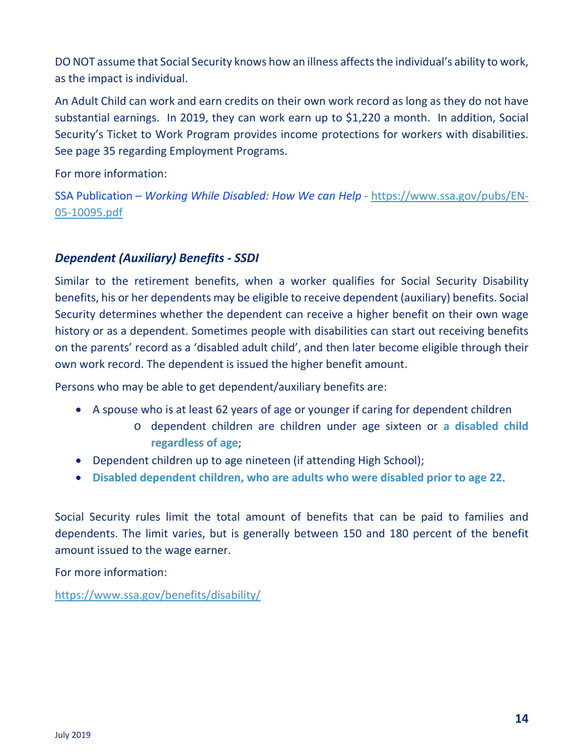DO NOT assume that Social Security knows how an illness affects the individual's ability to work, as the impact is individual.

An Adult Child can work and earn credits on their own work record as long as they do not have substantial earnings. In 2019, they can work earn up to \$1,220 a month. In addition, Social Security's Ticket to Work Program provides income protections for workers with disabilities. See page 35 regarding Employment Programs.

For more information:

SSA Publication – *Working While Disabled: How We can Help -* [https://www.ssa.gov/pubs/EN-](https://www.ssa.gov/pubs/EN-05-10095.pdf)[05-10095.pdf](https://www.ssa.gov/pubs/EN-05-10095.pdf)

#### *Dependent (Auxiliary) Benefits - SSDI*

Similar to the retirement benefits, when a worker qualifies for Social Security Disability benefits, his or her dependents may be eligible to receive dependent (auxiliary) benefits. Social Security determines whether the dependent can receive a higher benefit on their own wage history or as a dependent. Sometimes people with disabilities can start out receiving benefits on the parents' record as a 'disabled adult child', and then later become eligible through their own work record. The dependent is issued the higher benefit amount.

Persons who may be able to get dependent/auxiliary benefits are:

- A spouse who is at least 62 years of age or younger if caring for dependent children
	- o dependent children are children under age sixteen or **a disabled child regardless of age**;
- Dependent children up to age nineteen (if attending High School);
- **Disabled dependent children, who are adults who were disabled prior to age 22**.

Social Security rules limit the total amount of benefits that can be paid to families and dependents. The limit varies, but is generally between 150 and 180 percent of the benefit amount issued to the wage earner.

For more information:

<https://www.ssa.gov/benefits/disability/>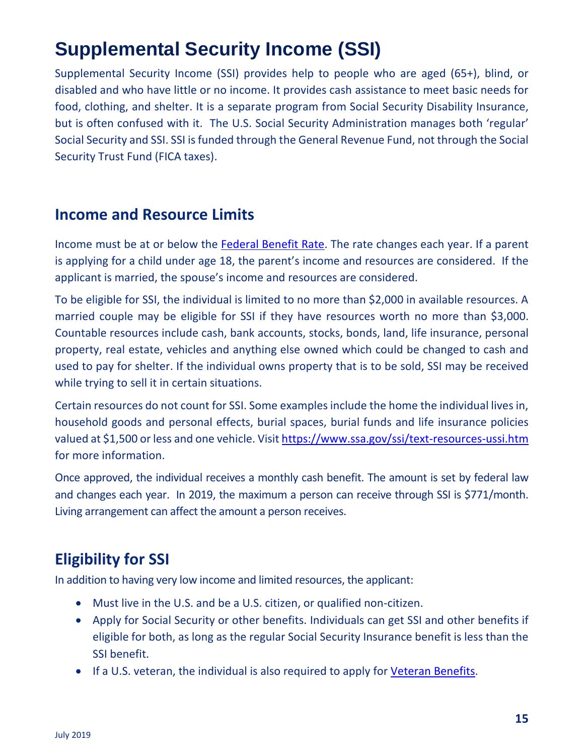# **Supplemental Security Income (SSI)**

Supplemental Security Income (SSI) provides help to people who are aged (65+), blind, or disabled and who have little or no income. It provides cash assistance to meet basic needs for food, clothing, and shelter. It is a separate program from Social Security Disability Insurance, but is often confused with it. The U.S. Social Security Administration manages both 'regular' Social Security and SSI. SSI is funded through the General Revenue Fund, not through the Social Security Trust Fund (FICA taxes).

### **Income and Resource Limits**

Income must be at or below the [Federal Benefit Rate.](http://www.ssa.gov/oact/cola/SSI.html) The rate changes each year. If a parent is applying for a child under age 18, the parent's income and resources are considered. If the applicant is married, the spouse's income and resources are considered.

To be eligible for SSI, the individual is limited to no more than \$2,000 in available resources. A married couple may be eligible for SSI if they have resources worth no more than \$3,000. Countable resources include cash, bank accounts, stocks, bonds, land, life insurance, personal property, real estate, vehicles and anything else owned which could be changed to cash and used to pay for shelter. If the individual owns property that is to be sold, SSI may be received while trying to sell it in certain situations.

Certain resources do not count for SSI. Some examples include the home the individual lives in, household goods and personal effects, burial spaces, burial funds and life insurance policies valued at \$1,500 or less and one vehicle. Visit<https://www.ssa.gov/ssi/text-resources-ussi.htm> for more information.

Once approved, the individual receives a monthly cash benefit. The amount is set by federal law and changes each year. In 2019, the maximum a person can receive through SSI is \$771/month. Living arrangement can affect the amount a person receives.

## **Eligibility for SSI**

In addition to having very low income and limited resources, the applicant:

- Must live in the U.S. and be a U.S. citizen, or qualified non-citizen.
- Apply for Social Security or other benefits. Individuals can get SSI and other benefits if eligible for both, as long as the regular Social Security Insurance benefit is less than the SSI benefit.
- If a U.S. veteran, the individual is also required to apply for Veteran Benefits.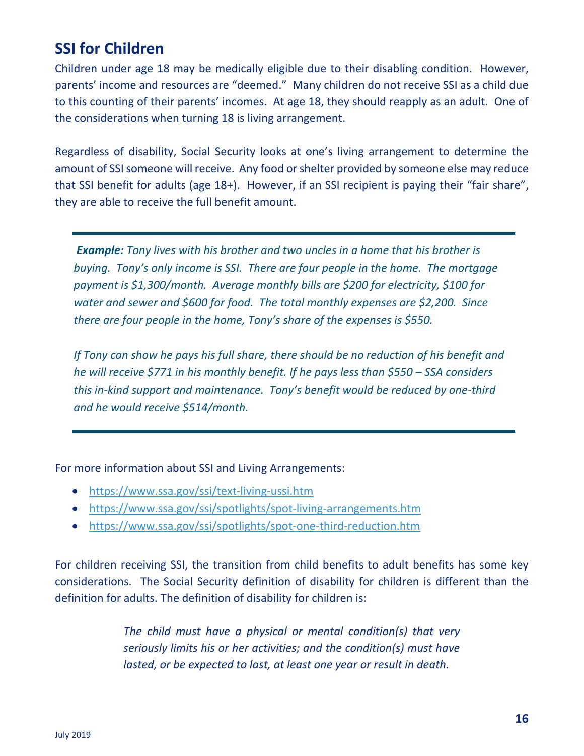## **SSI for Children**

Children under age 18 may be medically eligible due to their disabling condition. However, parents' income and resources are "deemed." Many children do not receive SSI as a child due to this counting of their parents' incomes. At age 18, they should reapply as an adult. One of the considerations when turning 18 is living arrangement.

Regardless of disability, Social Security looks at one's living arrangement to determine the amount of SSI someone will receive. Any food or shelter provided by someone else may reduce that SSI benefit for adults (age 18+). However, if an SSI recipient is paying their "fair share", they are able to receive the full benefit amount.

*Example: Tony lives with his brother and two uncles in a home that his brother is buying. Tony's only income is SSI. There are four people in the home. The mortgage payment is \$1,300/month. Average monthly bills are \$200 for electricity, \$100 for water and sewer and \$600 for food. The total monthly expenses are \$2,200. Since there are four people in the home, Tony's share of the expenses is \$550.* 

*If Tony can show he pays his full share, there should be no reduction of his benefit and he will receive \$771 in his monthly benefit. If he pays less than \$550 – SSA considers this in-kind support and maintenance. Tony's benefit would be reduced by one-third and he would receive \$514/month.* 

For more information about SSI and Living Arrangements:

- <https://www.ssa.gov/ssi/text-living-ussi.htm>
- <https://www.ssa.gov/ssi/spotlights/spot-living-arrangements.htm>
- <https://www.ssa.gov/ssi/spotlights/spot-one-third-reduction.htm>

For children receiving SSI, the transition from child benefits to adult benefits has some key considerations. The Social Security definition of disability for children is different than the definition for adults. The definition of disability for children is:

> *The child must have a physical or mental condition(s) that very seriously limits his or her activities; and the condition(s) must have lasted, or be expected to last, at least one year or result in death.*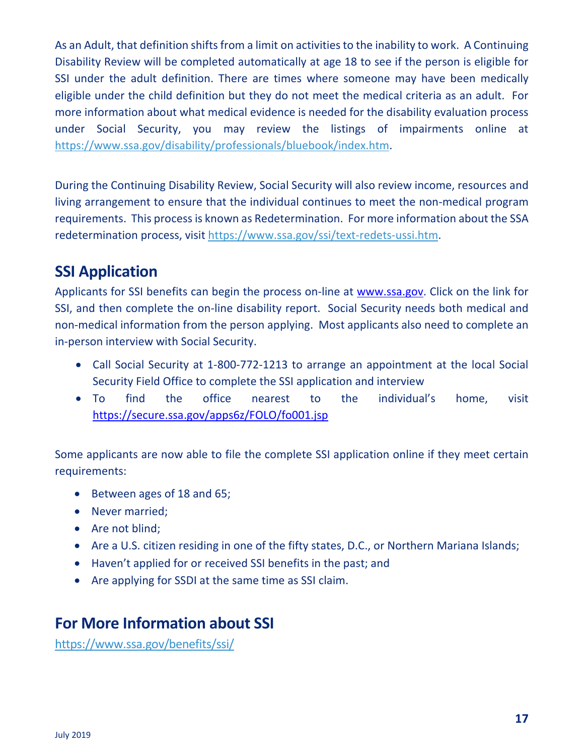As an Adult, that definition shifts from a limit on activities to the inability to work. A Continuing Disability Review will be completed automatically at age 18 to see if the person is eligible for SSI under the adult definition. There are times where someone may have been medically eligible under the child definition but they do not meet the medical criteria as an adult. For more information about what medical evidence is needed for the disability evaluation process under Social Security, you may review the listings of impairments online at [https://www.ssa.gov/disability/professionals/bluebook/index.htm.](https://www.ssa.gov/disability/professionals/bluebook/index.htm)

During the Continuing Disability Review, Social Security will also review income, resources and living arrangement to ensure that the individual continues to meet the non-medical program requirements. This process is known as Redetermination. For more information about the SSA redetermination process, visit [https://www.ssa.gov/ssi/text-redets-ussi.htm.](https://www.ssa.gov/ssi/text-redets-ussi.htm)

## **SSI Application**

Applicants for SSI benefits can begin the process on-line at [www.ssa.gov.](http://www.ssa.gov/) Click on the link for SSI, and then complete the on-line disability report. Social Security needs both medical and non-medical information from the person applying. Most applicants also need to complete an in-person interview with Social Security.

- Call Social Security at 1-800-772-1213 to arrange an appointment at the local Social Security Field Office to complete the SSI application and interview
- To find the office nearest to the individual's home, visit <https://secure.ssa.gov/apps6z/FOLO/fo001.jsp>

Some applicants are now able to file the complete SSI application online if they meet certain requirements:

- Between ages of 18 and 65;
- Never married;
- Are not blind;
- Are a U.S. citizen residing in one of the fifty states, D.C., or Northern Mariana Islands;
- Haven't applied for or received SSI benefits in the past; and
- Are applying for SSDI at the same time as SSI claim.

### **For More Information about SSI**

<https://www.ssa.gov/benefits/ssi/>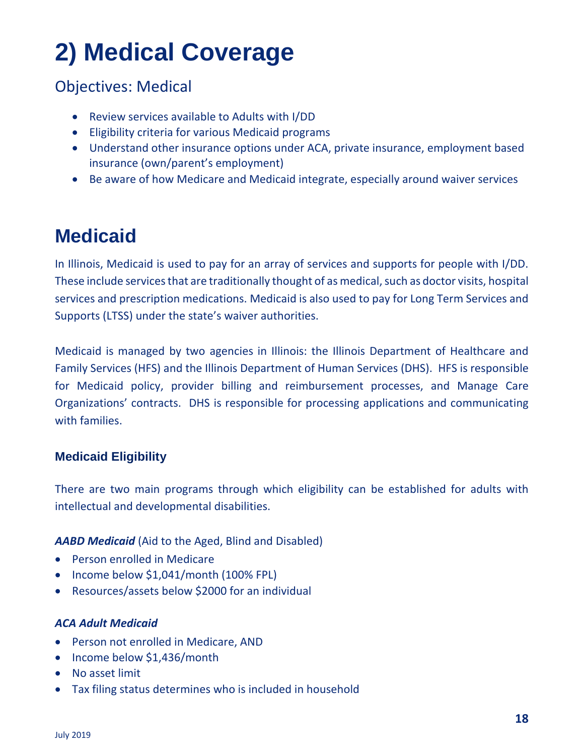# **2) Medical Coverage**

## Objectives: Medical

- Review services available to Adults with I/DD
- Eligibility criteria for various Medicaid programs
- Understand other insurance options under ACA, private insurance, employment based insurance (own/parent's employment)
- Be aware of how Medicare and Medicaid integrate, especially around waiver services

## **Medicaid**

In Illinois, Medicaid is used to pay for an array of services and supports for people with I/DD. These include services that are traditionally thought of as medical, such as doctor visits, hospital services and prescription medications. Medicaid is also used to pay for Long Term Services and Supports (LTSS) under the state's waiver authorities.

Medicaid is managed by two agencies in Illinois: the Illinois Department of Healthcare and Family Services (HFS) and the Illinois Department of Human Services (DHS). HFS is responsible for Medicaid policy, provider billing and reimbursement processes, and Manage Care Organizations' contracts. DHS is responsible for processing applications and communicating with families.

#### **Medicaid Eligibility**

There are two main programs through which eligibility can be established for adults with intellectual and developmental disabilities.

#### *AABD Medicaid* (Aid to the Aged, Blind and Disabled)

- Person enrolled in Medicare
- Income below \$1,041/month (100% FPL)
- Resources/assets below \$2000 for an individual

#### *ACA Adult Medicaid*

- Person not enrolled in Medicare, AND
- Income below \$1,436/month
- No asset limit
- Tax filing status determines who is included in household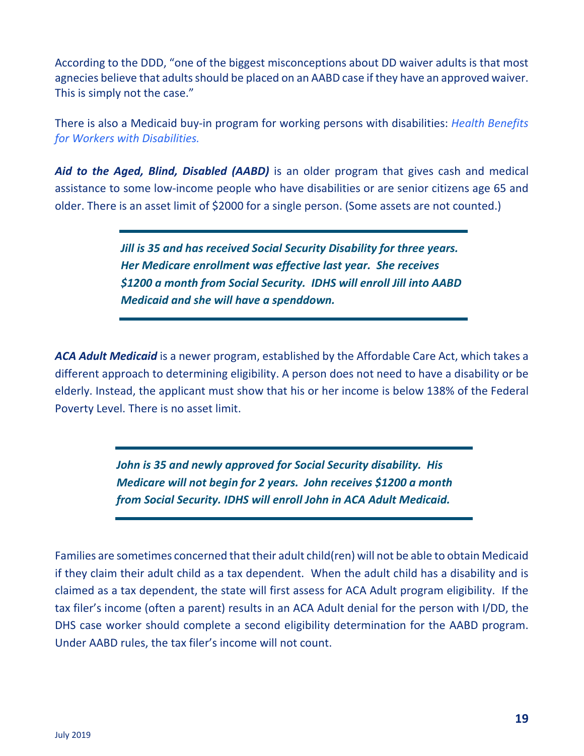According to the DDD, "one of the biggest misconceptions about DD waiver adults is that most agnecies believe that adults should be placed on an AABD case if they have an approved waiver. This is simply not the case."

There is also a Medicaid buy-in program for working persons with disabilities: *Health Benefits for Workers with Disabilities.*

*Aid to the Aged, Blind, Disabled (AABD)* is an older program that gives cash and medical assistance to some low-income people who have disabilities or are senior citizens age 65 and older. There is an asset limit of \$2000 for a single person. (Some assets are not counted.)

> *Jill is 35 and has received Social Security Disability for three years. Her Medicare enrollment was effective last year. She receives \$1200 a month from Social Security. IDHS will enroll Jill into AABD Medicaid and she will have a spenddown.*

*ACA Adult Medicaid* is a newer program, established by the Affordable Care Act, which takes a different approach to determining eligibility. A person does not need to have a disability or be elderly. Instead, the applicant must show that his or her income is below 138% of the Federal Poverty Level. There is no asset limit.

> *John is 35 and newly approved for Social Security disability. His Medicare will not begin for 2 years. John receives \$1200 a month from Social Security. IDHS will enroll John in ACA Adult Medicaid.*

Families are sometimes concerned that their adult child(ren) will not be able to obtain Medicaid if they claim their adult child as a tax dependent. When the adult child has a disability and is claimed as a tax dependent, the state will first assess for ACA Adult program eligibility. If the tax filer's income (often a parent) results in an ACA Adult denial for the person with I/DD, the DHS case worker should complete a second eligibility determination for the AABD program. Under AABD rules, the tax filer's income will not count.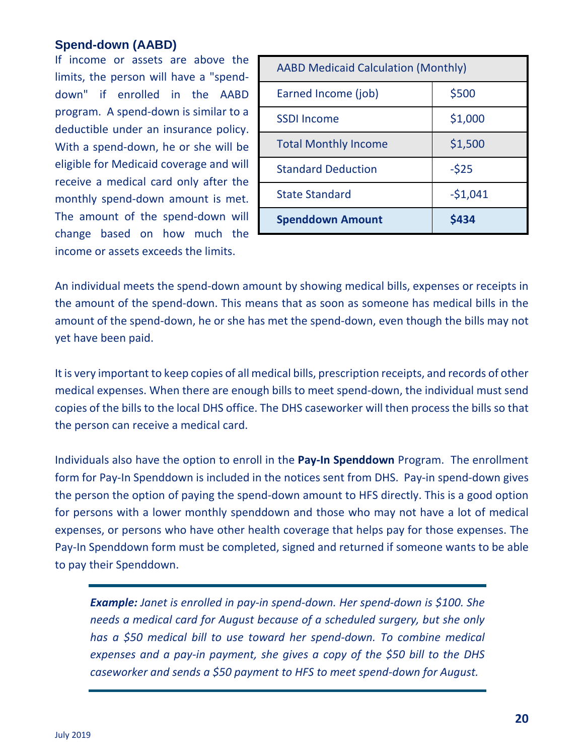#### **Spend-down (AABD)**

If income or assets are above the limits, the person will have a "spenddown" if enrolled in the AABD program. A spend-down is similar to a deductible under an insurance policy. With a spend-down, he or she will be eligible for Medicaid coverage and will receive a medical card only after the monthly spend-down amount is met. The amount of the spend-down will change based on how much the income or assets exceeds the limits.

| <b>AABD Medicaid Calculation (Monthly)</b> |  |  |
|--------------------------------------------|--|--|
| \$500                                      |  |  |
| \$1,000                                    |  |  |
| \$1,500                                    |  |  |
| $-525$                                     |  |  |
| $-51,041$                                  |  |  |
| \$434                                      |  |  |
|                                            |  |  |

An individual meets the spend-down amount by showing medical bills, expenses or receipts in the amount of the spend-down. This means that as soon as someone has medical bills in the amount of the spend-down, he or she has met the spend-down, even though the bills may not yet have been paid.

It is very important to keep copies of all medical bills, prescription receipts, and records of other medical expenses. When there are enough bills to meet spend-down, the individual must send copies of the bills to the local DHS office. The DHS caseworker will then process the bills so that the person can receive a medical card.

Individuals also have the option to enroll in the **Pay-In Spenddown** Program. The enrollment form for Pay-In Spenddown is included in the notices sent from DHS. Pay-in spend-down gives the person the option of paying the spend-down amount to HFS directly. This is a good option for persons with a lower monthly spenddown and those who may not have a lot of medical expenses, or persons who have other health coverage that helps pay for those expenses. The Pay-In Spenddown form must be completed, signed and returned if someone wants to be able to pay their Spenddown.

*Example: Janet is enrolled in pay-in spend-down. Her spend-down is \$100. She needs a medical card for August because of a scheduled surgery, but she only has a \$50 medical bill to use toward her spend-down. To combine medical expenses and a pay-in payment, she gives a copy of the \$50 bill to the DHS caseworker and sends a \$50 payment to HFS to meet spend-down for August.*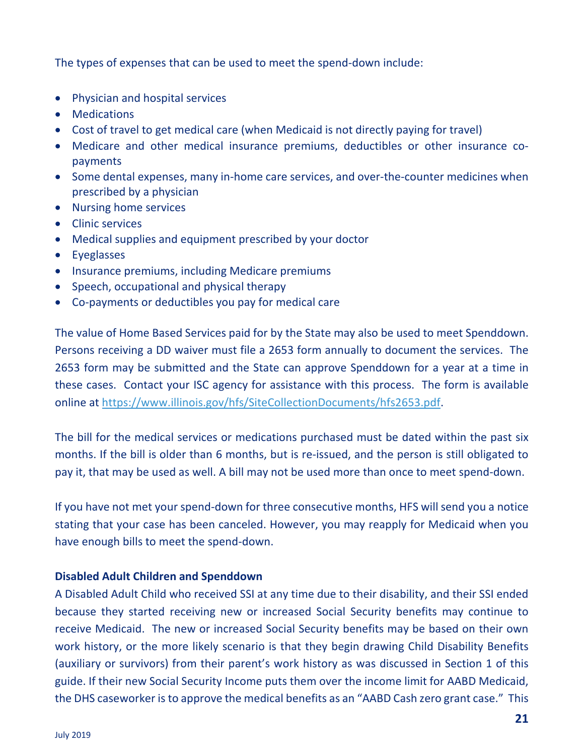The types of expenses that can be used to meet the spend-down include:

- Physician and hospital services
- Medications
- Cost of travel to get medical care (when Medicaid is not directly paying for travel)
- Medicare and other medical insurance premiums, deductibles or other insurance copayments
- Some dental expenses, many in-home care services, and over-the-counter medicines when prescribed by a physician
- Nursing home services
- Clinic services
- Medical supplies and equipment prescribed by your doctor
- Eyeglasses
- Insurance premiums, including Medicare premiums
- Speech, occupational and physical therapy
- Co-payments or deductibles you pay for medical care

The value of Home Based Services paid for by the State may also be used to meet Spenddown. Persons receiving a DD waiver must file a 2653 form annually to document the services. The 2653 form may be submitted and the State can approve Spenddown for a year at a time in these cases. Contact your ISC agency for assistance with this process. The form is available online at [https://www.illinois.gov/hfs/SiteCollectionDocuments/hfs2653.pdf.](https://www.illinois.gov/hfs/SiteCollectionDocuments/hfs2653.pdf)

The bill for the medical services or medications purchased must be dated within the past six months. If the bill is older than 6 months, but is re-issued, and the person is still obligated to pay it, that may be used as well. A bill may not be used more than once to meet spend-down.

If you have not met your spend-down for three consecutive months, HFS will send you a notice stating that your case has been canceled. However, you may reapply for Medicaid when you have enough bills to meet the spend-down.

#### **Disabled Adult Children and Spenddown**

A Disabled Adult Child who received SSI at any time due to their disability, and their SSI ended because they started receiving new or increased Social Security benefits may continue to receive Medicaid. The new or increased Social Security benefits may be based on their own work history, or the more likely scenario is that they begin drawing Child Disability Benefits (auxiliary or survivors) from their parent's work history as was discussed in Section 1 of this guide. If their new Social Security Income puts them over the income limit for AABD Medicaid, the DHS caseworker is to approve the medical benefits as an "AABD Cash zero grant case." This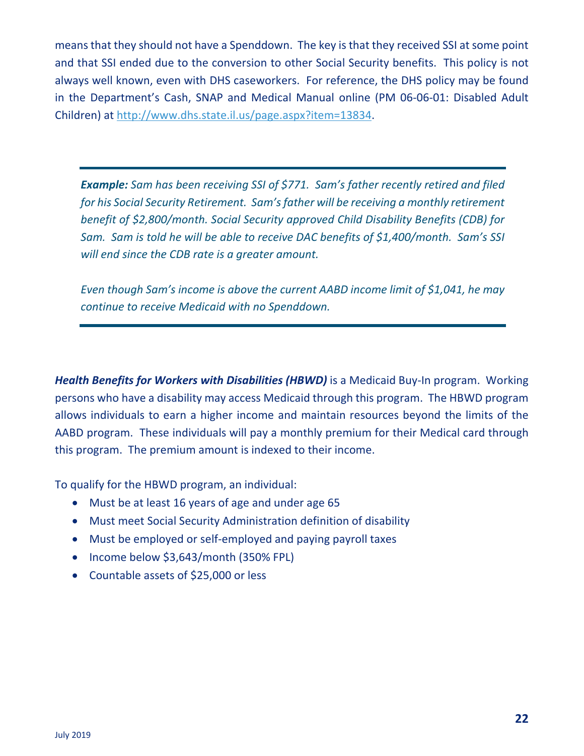means that they should not have a Spenddown. The key is that they received SSI at some point and that SSI ended due to the conversion to other Social Security benefits. This policy is not always well known, even with DHS caseworkers. For reference, the DHS policy may be found in the Department's Cash, SNAP and Medical Manual online (PM 06-06-01: Disabled Adult Children) at [http://www.dhs.state.il.us/page.aspx?item=13834.](http://www.dhs.state.il.us/page.aspx?item=13834)

*Example: Sam has been receiving SSI of \$771. Sam's father recently retired and filed for his Social Security Retirement. Sam's father will be receiving a monthly retirement benefit of \$2,800/month. Social Security approved Child Disability Benefits (CDB) for Sam. Sam is told he will be able to receive DAC benefits of \$1,400/month. Sam's SSI will end since the CDB rate is a greater amount.*

*Even though Sam's income is above the current AABD income limit of \$1,041, he may continue to receive Medicaid with no Spenddown.* 

*Health Benefits for Workers with Disabilities (HBWD)* is a Medicaid Buy-In program. Working persons who have a disability may access Medicaid through this program. The HBWD program allows individuals to earn a higher income and maintain resources beyond the limits of the AABD program. These individuals will pay a monthly premium for their Medical card through this program. The premium amount is indexed to their income.

To qualify for the HBWD program, an individual:

- Must be at least 16 years of age and under age 65
- Must meet Social Security Administration definition of disability
- Must be employed or self-employed and paying payroll taxes
- Income below \$3,643/month (350% FPL)
- Countable assets of \$25,000 or less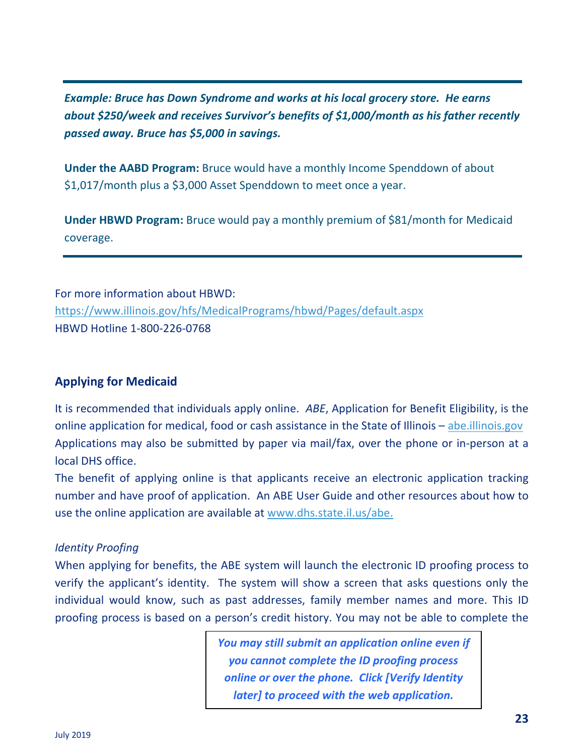*Example: Bruce has Down Syndrome and works at his local grocery store. He earns about \$250/week and receives Survivor's benefits of \$1,000/month as his father recently passed away. Bruce has \$5,000 in savings.* 

**Under the AABD Program:** Bruce would have a monthly Income Spenddown of about \$1,017/month plus a \$3,000 Asset Spenddown to meet once a year.

**Under HBWD Program:** Bruce would pay a monthly premium of \$81/month for Medicaid coverage.

For more information about HBWD: <https://www.illinois.gov/hfs/MedicalPrograms/hbwd/Pages/default.aspx> HBWD Hotline 1-800-226-0768

#### **Applying for Medicaid**

It is recommended that individuals apply online. *ABE*, Application for Benefit Eligibility, is the online application for medical, food or cash assistance in the State of Illinois – [abe.illinois.gov](https://abe.illinois.gov/)  Applications may also be submitted by paper via mail/fax, over the phone or in-person at a local DHS office.

The benefit of applying online is that applicants receive an electronic application tracking number and have proof of application. An ABE User Guide and other resources about how to use the online application are available at [www.dhs.state.il.us/abe.](http://www.dhs.state.il.us/abe)

#### *Identity Proofing*

When applying for benefits, the ABE system will launch the electronic ID proofing process to verify the applicant's identity. The system will show a screen that asks questions only the individual would know, such as past addresses, family member names and more. This ID proofing process is based on a person's credit history. You may not be able to complete the

> *You may still submit an application online even if you cannot complete the ID proofing process online or over the phone. Click [Verify Identity later] to proceed with the web application.*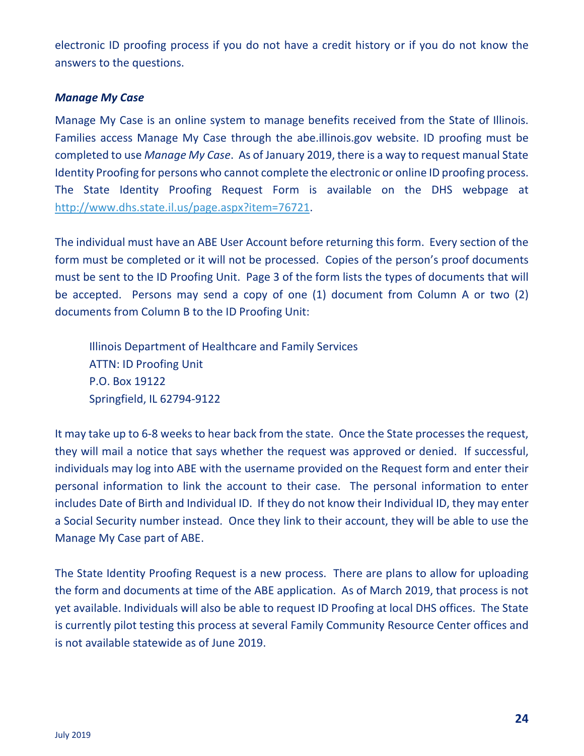electronic ID proofing process if you do not have a credit history or if you do not know the answers to the questions.

#### *Manage My Case*

Manage My Case is an online system to manage benefits received from the State of Illinois. Families access Manage My Case through the abe.illinois.gov website. ID proofing must be completed to use *Manage My Case*. As of January 2019, there is a way to request manual State Identity Proofing for persons who cannot complete the electronic or online ID proofing process. The State Identity Proofing Request Form is available on the DHS webpage at [http://www.dhs.state.il.us/page.aspx?item=76721.](http://www.dhs.state.il.us/page.aspx?item=76721)

The individual must have an ABE User Account before returning this form. Every section of the form must be completed or it will not be processed. Copies of the person's proof documents must be sent to the ID Proofing Unit. Page 3 of the form lists the types of documents that will be accepted. Persons may send a copy of one (1) document from Column A or two (2) documents from Column B to the ID Proofing Unit:

Illinois Department of Healthcare and Family Services ATTN: ID Proofing Unit P.O. Box 19122 Springfield, IL 62794-9122

It may take up to 6-8 weeks to hear back from the state. Once the State processes the request, they will mail a notice that says whether the request was approved or denied. If successful, individuals may log into ABE with the username provided on the Request form and enter their personal information to link the account to their case. The personal information to enter includes Date of Birth and Individual ID. If they do not know their Individual ID, they may enter a Social Security number instead. Once they link to their account, they will be able to use the Manage My Case part of ABE.

The State Identity Proofing Request is a new process. There are plans to allow for uploading the form and documents at time of the ABE application. As of March 2019, that process is not yet available. Individuals will also be able to request ID Proofing at local DHS offices. The State is currently pilot testing this process at several Family Community Resource Center offices and is not available statewide as of June 2019.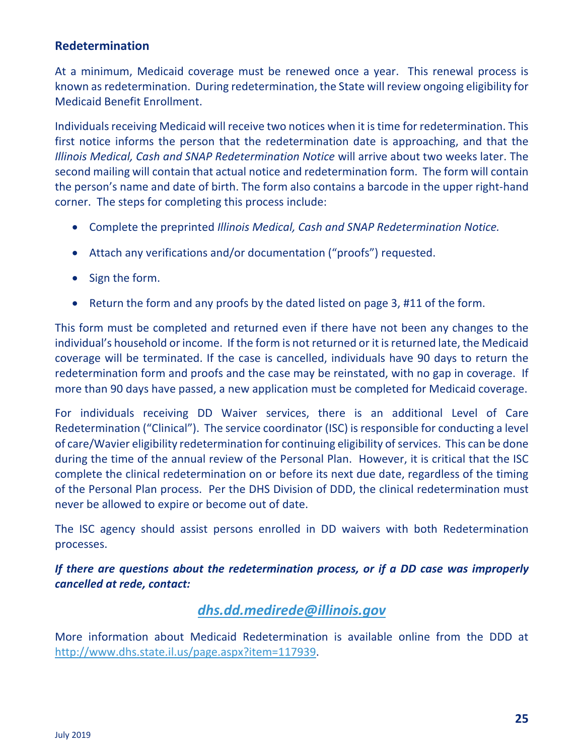#### **Redetermination**

At a minimum, Medicaid coverage must be renewed once a year. This renewal process is known as redetermination. During redetermination, the State will review ongoing eligibility for Medicaid Benefit Enrollment.

Individuals receiving Medicaid will receive two notices when it is time for redetermination. This first notice informs the person that the redetermination date is approaching, and that the *Illinois Medical, Cash and SNAP Redetermination Notice* will arrive about two weeks later. The second mailing will contain that actual notice and redetermination form. The form will contain the person's name and date of birth. The form also contains a barcode in the upper right-hand corner. The steps for completing this process include:

- Complete the preprinted *Illinois Medical, Cash and SNAP Redetermination Notice.*
- Attach any verifications and/or documentation ("proofs") requested.
- Sign the form.
- Return the form and any proofs by the dated listed on page 3, #11 of the form.

This form must be completed and returned even if there have not been any changes to the individual's household or income. If the form is not returned or it is returned late, the Medicaid coverage will be terminated. If the case is cancelled, individuals have 90 days to return the redetermination form and proofs and the case may be reinstated, with no gap in coverage. If more than 90 days have passed, a new application must be completed for Medicaid coverage.

For individuals receiving DD Waiver services, there is an additional Level of Care Redetermination ("Clinical"). The service coordinator (ISC) is responsible for conducting a level of care/Wavier eligibility redetermination for continuing eligibility of services. This can be done during the time of the annual review of the Personal Plan. However, it is critical that the ISC complete the clinical redetermination on or before its next due date, regardless of the timing of the Personal Plan process. Per the DHS Division of DDD, the clinical redetermination must never be allowed to expire or become out of date.

The ISC agency should assist persons enrolled in DD waivers with both Redetermination processes.

*If there are questions about the redetermination process, or if a DD case was improperly cancelled at rede, contact:*

#### *[dhs.dd.medirede@illinois.gov](mailto:dhs.dd.medirede@illinois.gov)*

More information about Medicaid Redetermination is available online from the DDD at [http://www.dhs.state.il.us/page.aspx?item=117939.](http://www.dhs.state.il.us/page.aspx?item=117939)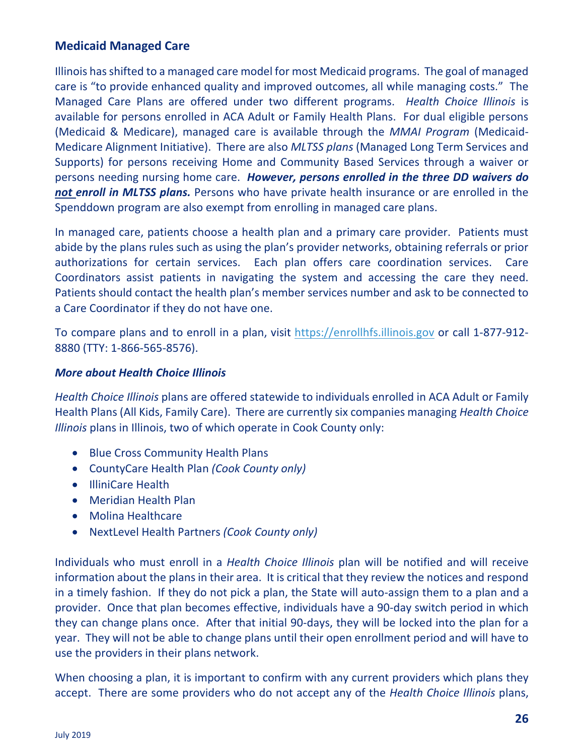#### **Medicaid Managed Care**

Illinois has shifted to a managed care model for most Medicaid programs. The goal of managed care is "to provide enhanced quality and improved outcomes, all while managing costs." The Managed Care Plans are offered under two different programs. *Health Choice Illinois* is available for persons enrolled in ACA Adult or Family Health Plans. For dual eligible persons (Medicaid & Medicare), managed care is available through the *MMAI Program* (Medicaid-Medicare Alignment Initiative). There are also *MLTSS plans* (Managed Long Term Services and Supports) for persons receiving Home and Community Based Services through a waiver or persons needing nursing home care. *However, persons enrolled in the three DD waivers do not enroll in MLTSS plans.* Persons who have private health insurance or are enrolled in the Spenddown program are also exempt from enrolling in managed care plans.

In managed care, patients choose a health plan and a primary care provider. Patients must abide by the plans rules such as using the plan's provider networks, obtaining referrals or prior authorizations for certain services. Each plan offers care coordination services. Care Coordinators assist patients in navigating the system and accessing the care they need. Patients should contact the health plan's member services number and ask to be connected to a Care Coordinator if they do not have one.

To compare plans and to enroll in a plan, visit [https://enrollhfs.illinois.gov](https://enrollhfs.illinois.gov/) or call 1-877-912- 8880 (TTY: 1-866-565-8576).

#### *More about Health Choice Illinois*

*Health Choice Illinois* plans are offered statewide to individuals enrolled in ACA Adult or Family Health Plans (All Kids, Family Care). There are currently six companies managing *Health Choice Illinois* plans in Illinois, two of which operate in Cook County only:

- Blue Cross Community Health Plans
- CountyCare Health Plan *(Cook County only)*
- IlliniCare Health
- Meridian Health Plan
- Molina Healthcare
- NextLevel Health Partners *(Cook County only)*

Individuals who must enroll in a *Health Choice Illinois* plan will be notified and will receive information about the plans in their area. It is critical that they review the notices and respond in a timely fashion. If they do not pick a plan, the State will auto-assign them to a plan and a provider. Once that plan becomes effective, individuals have a 90-day switch period in which they can change plans once. After that initial 90-days, they will be locked into the plan for a year. They will not be able to change plans until their open enrollment period and will have to use the providers in their plans network.

When choosing a plan, it is important to confirm with any current providers which plans they accept. There are some providers who do not accept any of the *Health Choice Illinois* plans,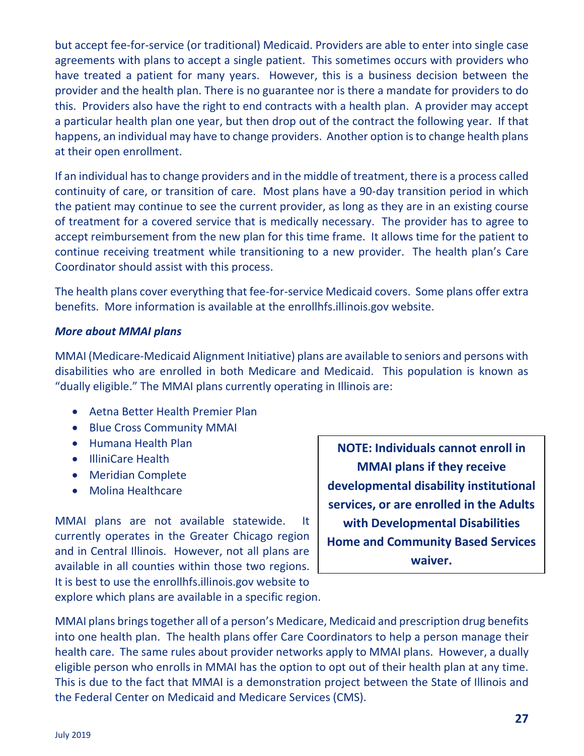but accept fee-for-service (or traditional) Medicaid. Providers are able to enter into single case agreements with plans to accept a single patient. This sometimes occurs with providers who have treated a patient for many years. However, this is a business decision between the provider and the health plan. There is no guarantee nor is there a mandate for providers to do this. Providers also have the right to end contracts with a health plan. A provider may accept a particular health plan one year, but then drop out of the contract the following year. If that happens, an individual may have to change providers. Another option is to change health plans at their open enrollment.

If an individual has to change providers and in the middle of treatment, there is a process called continuity of care, or transition of care. Most plans have a 90-day transition period in which the patient may continue to see the current provider, as long as they are in an existing course of treatment for a covered service that is medically necessary. The provider has to agree to accept reimbursement from the new plan for this time frame. It allows time for the patient to continue receiving treatment while transitioning to a new provider. The health plan's Care Coordinator should assist with this process.

The health plans cover everything that fee-for-service Medicaid covers. Some plans offer extra benefits. More information is available at the enrollhfs.illinois.gov website.

#### *More about MMAI plans*

MMAI (Medicare-Medicaid Alignment Initiative) plans are available to seniors and persons with disabilities who are enrolled in both Medicare and Medicaid. This population is known as "dually eligible." The MMAI plans currently operating in Illinois are:

- Aetna Better Health Premier Plan
- Blue Cross Community MMAI
- Humana Health Plan
- IlliniCare Health
- Meridian Complete
- Molina Healthcare

MMAI plans are not available statewide. It currently operates in the Greater Chicago region and in Central Illinois. However, not all plans are available in all counties within those two regions. It is best to use the enrollhfs.illinois.gov website to explore which plans are available in a specific region.

**NOTE: Individuals cannot enroll in MMAI plans if they receive developmental disability institutional services, or are enrolled in the Adults with Developmental Disabilities Home and Community Based Services waiver.**

MMAI plans brings together all of a person's Medicare, Medicaid and prescription drug benefits into one health plan. The health plans offer Care Coordinators to help a person manage their health care. The same rules about provider networks apply to MMAI plans. However, a dually eligible person who enrolls in MMAI has the option to opt out of their health plan at any time. This is due to the fact that MMAI is a demonstration project between the State of Illinois and the Federal Center on Medicaid and Medicare Services (CMS).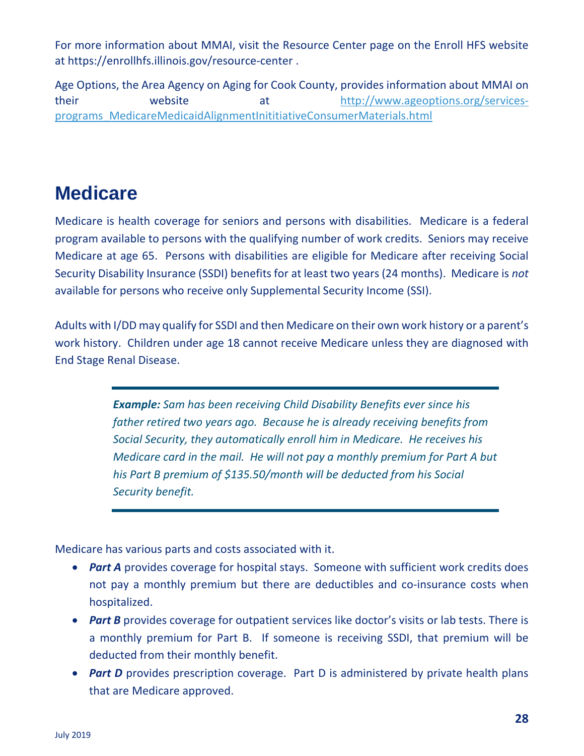For more information about MMAI, visit the Resource Center page on the Enroll HFS website at https://enrollhfs.illinois.gov/resource-center .

Age Options, the Area Agency on Aging for Cook County, provides information about MMAI on their website at [http://www.ageoptions.org/services](http://www.ageoptions.org/services-programs_MedicareMedicaidAlignmentInititiativeConsumerMaterials.html)[programs\\_MedicareMedicaidAlignmentInititiativeConsumerMaterials.html](http://www.ageoptions.org/services-programs_MedicareMedicaidAlignmentInititiativeConsumerMaterials.html)

## **Medicare**

Medicare is health coverage for seniors and persons with disabilities. Medicare is a federal program available to persons with the qualifying number of work credits. Seniors may receive Medicare at age 65. Persons with disabilities are eligible for Medicare after receiving Social Security Disability Insurance (SSDI) benefits for at least two years (24 months). Medicare is *not*  available for persons who receive only Supplemental Security Income (SSI).

Adults with I/DD may qualify for SSDI and then Medicare on their own work history or a parent's work history. Children under age 18 cannot receive Medicare unless they are diagnosed with End Stage Renal Disease.

> *Example: Sam has been receiving Child Disability Benefits ever since his father retired two years ago. Because he is already receiving benefits from Social Security, they automatically enroll him in Medicare. He receives his Medicare card in the mail. He will not pay a monthly premium for Part A but his Part B premium of \$135.50/month will be deducted from his Social Security benefit.*

Medicare has various parts and costs associated with it.

- *Part A* provides coverage for hospital stays. Someone with sufficient work credits does not pay a monthly premium but there are deductibles and co-insurance costs when hospitalized.
- **Part B** provides coverage for outpatient services like doctor's visits or lab tests. There is a monthly premium for Part B. If someone is receiving SSDI, that premium will be deducted from their monthly benefit.
- *Part D* provides prescription coverage. Part D is administered by private health plans that are Medicare approved.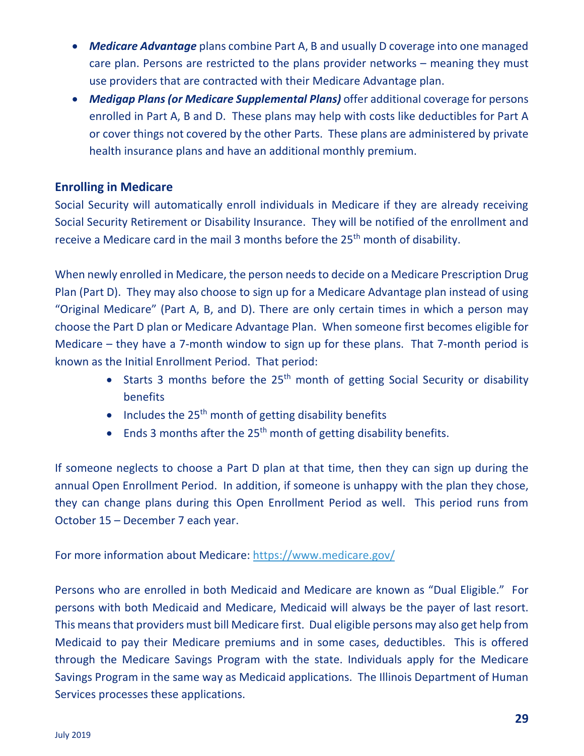- *Medicare Advantage* plans combine Part A, B and usually D coverage into one managed care plan. Persons are restricted to the plans provider networks – meaning they must use providers that are contracted with their Medicare Advantage plan.
- *Medigap Plans (or Medicare Supplemental Plans)* offer additional coverage for persons enrolled in Part A, B and D. These plans may help with costs like deductibles for Part A or cover things not covered by the other Parts. These plans are administered by private health insurance plans and have an additional monthly premium.

#### **Enrolling in Medicare**

Social Security will automatically enroll individuals in Medicare if they are already receiving Social Security Retirement or Disability Insurance. They will be notified of the enrollment and receive a Medicare card in the mail 3 months before the 25<sup>th</sup> month of disability.

When newly enrolled in Medicare, the person needs to decide on a Medicare Prescription Drug Plan (Part D). They may also choose to sign up for a Medicare Advantage plan instead of using "Original Medicare" (Part A, B, and D). There are only certain times in which a person may choose the Part D plan or Medicare Advantage Plan. When someone first becomes eligible for Medicare – they have a 7-month window to sign up for these plans. That 7-month period is known as the Initial Enrollment Period. That period:

- Starts 3 months before the  $25<sup>th</sup>$  month of getting Social Security or disability benefits
- Includes the  $25<sup>th</sup>$  month of getting disability benefits
- Ends 3 months after the 25<sup>th</sup> month of getting disability benefits.

If someone neglects to choose a Part D plan at that time, then they can sign up during the annual Open Enrollment Period. In addition, if someone is unhappy with the plan they chose, they can change plans during this Open Enrollment Period as well. This period runs from October 15 – December 7 each year.

#### For more information about Medicare: <https://www.medicare.gov/>

Persons who are enrolled in both Medicaid and Medicare are known as "Dual Eligible." For persons with both Medicaid and Medicare, Medicaid will always be the payer of last resort. This means that providers must bill Medicare first. Dual eligible persons may also get help from Medicaid to pay their Medicare premiums and in some cases, deductibles. This is offered through the Medicare Savings Program with the state. Individuals apply for the Medicare Savings Program in the same way as Medicaid applications. The Illinois Department of Human Services processes these applications.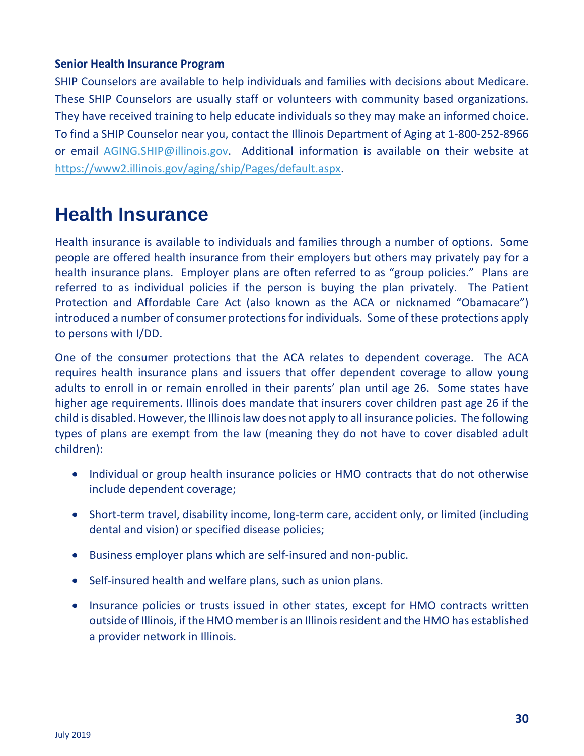#### **Senior Health Insurance Program**

SHIP Counselors are available to help individuals and families with decisions about Medicare. These SHIP Counselors are usually staff or volunteers with community based organizations. They have received training to help educate individuals so they may make an informed choice. To find a SHIP Counselor near you, contact the Illinois Department of Aging at 1-800-252-8966 or email [AGING.SHIP@illinois.gov.](mailto:AGING.SHIP@illinois.gov) Additional information is available on their website at [https://www2.illinois.gov/aging/ship/Pages/default.aspx.](https://www2.illinois.gov/aging/ship/Pages/default.aspx)

## **Health Insurance**

Health insurance is available to individuals and families through a number of options. Some people are offered health insurance from their employers but others may privately pay for a health insurance plans. Employer plans are often referred to as "group policies." Plans are referred to as individual policies if the person is buying the plan privately. The Patient Protection and Affordable Care Act (also known as the ACA or nicknamed "Obamacare") introduced a number of consumer protections for individuals. Some of these protections apply to persons with I/DD.

One of the consumer protections that the ACA relates to dependent coverage. The ACA requires health insurance plans and issuers that offer dependent coverage to allow young adults to enroll in or remain enrolled in their parents' plan until age 26. Some states have higher age requirements. Illinois does mandate that insurers cover children past age 26 if the child is disabled. However, the Illinois law does not apply to all insurance policies. The following types of plans are exempt from the law (meaning they do not have to cover disabled adult children):

- Individual or group health insurance policies or HMO contracts that do not otherwise include dependent coverage;
- Short-term travel, disability income, long-term care, accident only, or limited (including dental and vision) or specified disease policies;
- Business employer plans which are self-insured and non-public.
- Self-insured health and welfare plans, such as union plans.
- Insurance policies or trusts issued in other states, except for HMO contracts written outside of Illinois, if the HMO member is an Illinois resident and the HMO has established a provider network in Illinois.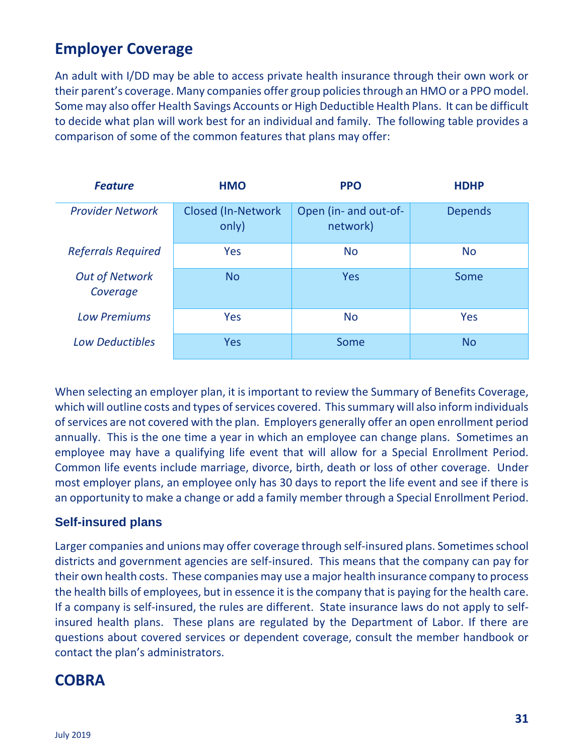## **Employer Coverage**

An adult with I/DD may be able to access private health insurance through their own work or their parent's coverage. Many companies offer group policies through an HMO or a PPO model. Some may also offer Health Savings Accounts or High Deductible Health Plans. It can be difficult to decide what plan will work best for an individual and family. The following table provides a comparison of some of the common features that plans may offer:

| <b>Feature</b>                    | <b>HMO</b>                  | <b>PPO</b>                        | <b>HDHP</b>    |
|-----------------------------------|-----------------------------|-----------------------------------|----------------|
| <b>Provider Network</b>           | Closed (In-Network<br>only) | Open (in- and out-of-<br>network) | <b>Depends</b> |
| <b>Referrals Required</b>         | Yes                         | <b>No</b>                         | <b>No</b>      |
| <b>Out of Network</b><br>Coverage | <b>No</b>                   | Yes                               | Some           |
| <b>Low Premiums</b>               | <b>Yes</b>                  | <b>No</b>                         | Yes            |
| <b>Low Deductibles</b>            | Yes                         | Some                              | <b>No</b>      |

When selecting an employer plan, it is important to review the Summary of Benefits Coverage, which will outline costs and types of services covered. This summary will also inform individuals of services are not covered with the plan. Employers generally offer an open enrollment period annually. This is the one time a year in which an employee can change plans. Sometimes an employee may have a qualifying life event that will allow for a Special Enrollment Period. Common life events include marriage, divorce, birth, death or loss of other coverage. Under most employer plans, an employee only has 30 days to report the life event and see if there is an opportunity to make a change or add a family member through a Special Enrollment Period.

#### **Self-insured plans**

Larger companies and unions may offer coverage through self-insured plans. Sometimes school districts and government agencies are self-insured. This means that the company can pay for their own health costs. These companies may use a major health insurance company to process the health bills of employees, but in essence it is the company that is paying for the health care. If a company is self-insured, the rules are different. State insurance laws do not apply to selfinsured health plans. These plans are regulated by the Department of Labor. If there are questions about covered services or dependent coverage, consult the member handbook or contact the plan's administrators.

### **COBRA**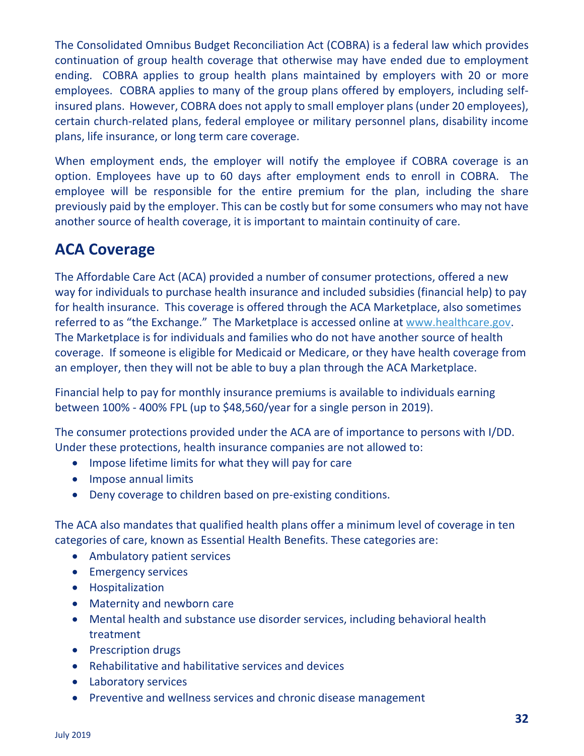The Consolidated Omnibus Budget Reconciliation Act (COBRA) is a federal law which provides continuation of group health coverage that otherwise may have ended due to employment ending. COBRA applies to group health plans maintained by employers with 20 or more employees. COBRA applies to many of the group plans offered by employers, including selfinsured plans. However, COBRA does not apply to small employer plans (under 20 employees), certain church-related plans, federal employee or military personnel plans, disability income plans, life insurance, or long term care coverage.

When employment ends, the employer will notify the employee if COBRA coverage is an option. Employees have up to 60 days after employment ends to enroll in COBRA. The employee will be responsible for the entire premium for the plan, including the share previously paid by the employer. This can be costly but for some consumers who may not have another source of health coverage, it is important to maintain continuity of care.

## **ACA Coverage**

The Affordable Care Act (ACA) provided a number of consumer protections, offered a new way for individuals to purchase health insurance and included subsidies (financial help) to pay for health insurance. This coverage is offered through the ACA Marketplace, also sometimes referred to as "the Exchange." The Marketplace is accessed online at [www.healthcare.gov.](http://www.healthcare.gov/) The Marketplace is for individuals and families who do not have another source of health coverage. If someone is eligible for Medicaid or Medicare, or they have health coverage from an employer, then they will not be able to buy a plan through the ACA Marketplace.

Financial help to pay for monthly insurance premiums is available to individuals earning between 100% - 400% FPL (up to \$48,560/year for a single person in 2019).

The consumer protections provided under the ACA are of importance to persons with I/DD. Under these protections, health insurance companies are not allowed to:

- Impose lifetime limits for what they will pay for care
- Impose annual limits
- Deny coverage to children based on pre-existing conditions.

The ACA also mandates that qualified health plans offer a minimum level of coverage in ten categories of care, known as Essential Health Benefits. These categories are:

- Ambulatory patient services
- Emergency services
- Hospitalization
- Maternity and newborn care
- Mental health and substance use disorder services, including behavioral health treatment
- Prescription drugs
- Rehabilitative and habilitative services and devices
- Laboratory services
- Preventive and wellness services and chronic disease management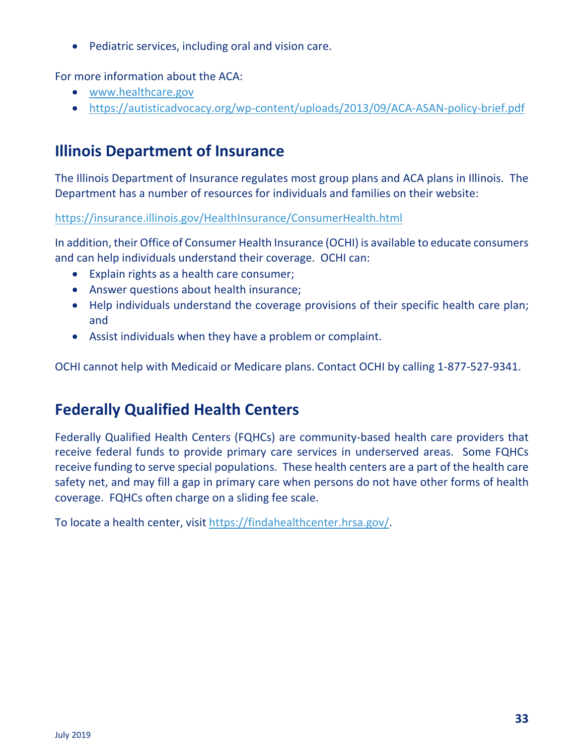• Pediatric services, including oral and vision care.

For more information about the ACA:

- [www.healthcare.gov](http://www.healthcare.gov/)
- <https://autisticadvocacy.org/wp-content/uploads/2013/09/ACA-ASAN-policy-brief.pdf>

## **Illinois Department of Insurance**

The Illinois Department of Insurance regulates most group plans and ACA plans in Illinois. The Department has a number of resources for individuals and families on their website:

<https://insurance.illinois.gov/HealthInsurance/ConsumerHealth.html>

In addition, their Office of Consumer Health Insurance (OCHI) is available to educate consumers and can help individuals understand their coverage. OCHI can:

- Explain rights as a health care consumer;
- Answer questions about health insurance;
- Help individuals understand the coverage provisions of their specific health care plan; and
- Assist individuals when they have a problem or complaint.

OCHI cannot help with Medicaid or Medicare plans. Contact OCHI by calling 1-877-527-9341.

## **Federally Qualified Health Centers**

Federally Qualified Health Centers (FQHCs) are community-based health care providers that receive federal funds to provide primary care services in underserved areas. Some FQHCs receive funding to serve special populations. These health centers are a part of the health care safety net, and may fill a gap in primary care when persons do not have other forms of health coverage. FQHCs often charge on a sliding fee scale.

To locate a health center, visit [https://findahealthcenter.hrsa.gov/.](https://findahealthcenter.hrsa.gov/)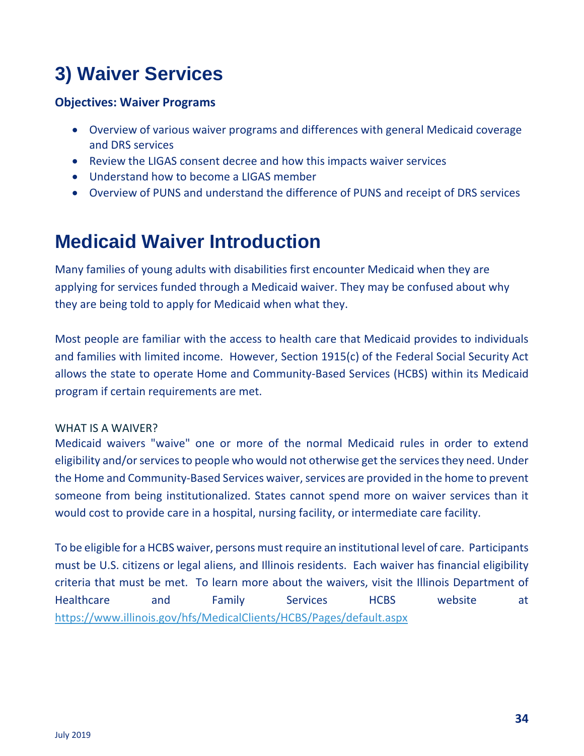# **3) Waiver Services**

#### **Objectives: Waiver Programs**

- Overview of various waiver programs and differences with general Medicaid coverage and DRS services
- Review the LIGAS consent decree and how this impacts waiver services
- Understand how to become a LIGAS member
- Overview of PUNS and understand the difference of PUNS and receipt of DRS services

## **Medicaid Waiver Introduction**

Many families of young adults with disabilities first encounter Medicaid when they are applying for services funded through a Medicaid waiver. They may be confused about why they are being told to apply for Medicaid when what they.

Most people are familiar with the access to health care that Medicaid provides to individuals and families with limited income. However, Section 1915(c) of the Federal Social Security Act allows the state to operate Home and Community-Based Services (HCBS) within its Medicaid program if certain requirements are met.

#### WHAT IS A WAIVER?

Medicaid waivers "waive" one or more of the normal Medicaid rules in order to extend eligibility and/or services to people who would not otherwise get the services they need. Under the Home and Community-Based Services waiver, services are provided in the home to prevent someone from being institutionalized. States cannot spend more on waiver services than it would cost to provide care in a hospital, nursing facility, or intermediate care facility.

To be eligible for a HCBS waiver, persons must require an institutional level of care. Participants must be U.S. citizens or legal aliens, and Illinois residents. Each waiver has financial eligibility criteria that must be met. To learn more about the waivers, visit the Illinois Department of Healthcare and Family Services HCBS website at <https://www.illinois.gov/hfs/MedicalClients/HCBS/Pages/default.aspx>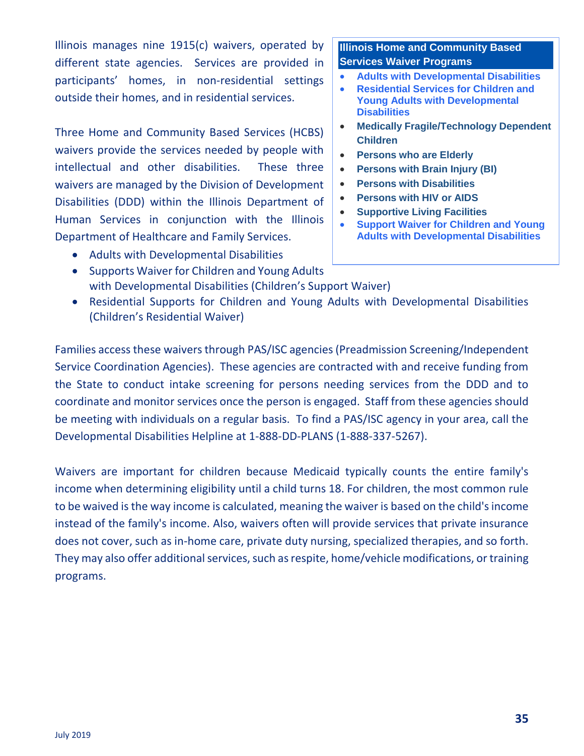Illinois manages nine 1915(c) waivers, operated by different state agencies. Services are provided in participants' homes, in non-residential settings outside their homes, and in residential services.

Three Home and Community Based Services (HCBS) waivers provide the services needed by people with intellectual and other disabilities. These three waivers are managed by the Division of Development Disabilities (DDD) within the Illinois Department of Human Services in conjunction with the Illinois Department of Healthcare and Family Services.

- Adults with Developmental Disabilities
- Supports Waiver for Children and Young Adults

#### **Illinois Home and Community Based Services Waiver Programs**

- **Adults with [Developmental](https://www.illinois.gov/hfs/MedicalClients/HCBS/Pages/DD.aspx) Disabilities**
- **[Residential](https://www.illinois.gov/hfs/MedicalClients/HCBS/Pages/CYADD.aspx) Services for Children and Young Adults with [Developmental](https://www.illinois.gov/hfs/MedicalClients/HCBS/Pages/CYADD.aspx) [Disabilities](https://www.illinois.gov/hfs/MedicalClients/HCBS/Pages/CYADD.aspx)**
- **Medically [Fragile/Technology](https://www.illinois.gov/hfs/MedicalClients/HCBS/Pages/tdmfc.aspx) Dependent [Children](https://www.illinois.gov/hfs/MedicalClients/HCBS/Pages/tdmfc.aspx)**
- **[Persons](https://www.illinois.gov/hfs/MedicalClients/HCBS/Pages/Elderly.aspx) who are Elderly**
- **[Persons](http://www.illinois.gov/hfs/MedicalClients/HCBS/Pages/BI.aspx) with Brain Injury (BI)**
- **Persons with [Disabilities](https://www.illinois.gov/hfs/MedicalClients/HCBS/Pages/disablities.aspx)**
- **[Persons](https://www.illinois.gov/hfs/MedicalClients/HCBS/Pages/hiv.aspx) with HIV or AIDS**
- **[Supportive](https://www.illinois.gov/hfs/MedicalClients/HCBS/Pages/slf.aspx) Living Facilities**
- **Support Waiver for [Children](https://www.illinois.gov/hfs/MedicalClients/HCBS/Pages/support_cyadd.aspx) and Young Adults with [Developmental](https://www.illinois.gov/hfs/MedicalClients/HCBS/Pages/support_cyadd.aspx) Disabilities**
- with Developmental Disabilities (Children's Support Waiver)
- Residential Supports for Children and Young Adults with Developmental Disabilities (Children's Residential Waiver)

Families access these waivers through PAS/ISC agencies (Preadmission Screening/Independent Service Coordination Agencies). These agencies are contracted with and receive funding from the State to conduct intake screening for persons needing services from the DDD and to coordinate and monitor services once the person is engaged. Staff from these agencies should be meeting with individuals on a regular basis. To find a PAS/ISC agency in your area, call the Developmental Disabilities Helpline at 1-888-DD-PLANS (1-888-337-5267).

Waivers are important for children because Medicaid typically counts the entire family's income when determining eligibility until a child turns 18. For children, the most common rule to be waived is the way income is calculated, meaning the waiver is based on the child's income instead of the family's income. Also, waivers often will provide services that private insurance does not cover, such as in-home care, private duty nursing, specialized therapies, and so forth. They may also offer additional services, such as respite, home/vehicle modifications, or training programs.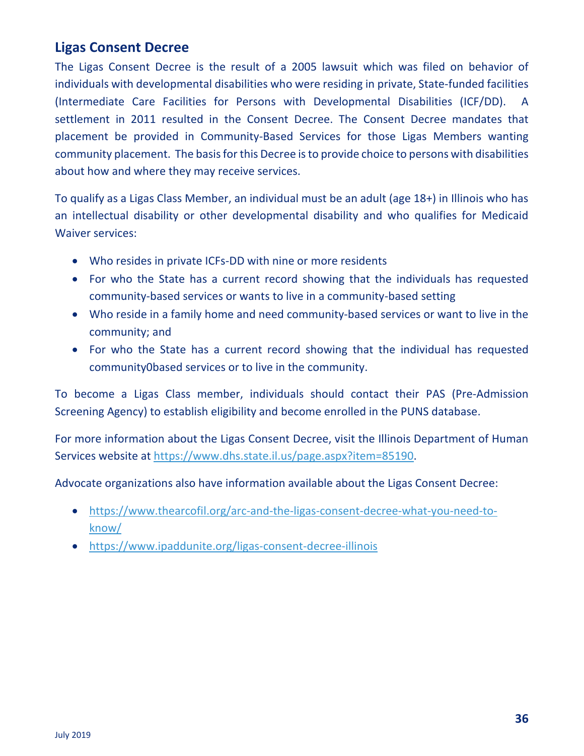#### **Ligas Consent Decree**

The Ligas Consent Decree is the result of a 2005 lawsuit which was filed on behavior of individuals with developmental disabilities who were residing in private, State-funded facilities (Intermediate Care Facilities for Persons with Developmental Disabilities (ICF/DD). A settlement in 2011 resulted in the Consent Decree. The Consent Decree mandates that placement be provided in Community-Based Services for those Ligas Members wanting community placement. The basis for this Decree is to provide choice to persons with disabilities about how and where they may receive services.

To qualify as a Ligas Class Member, an individual must be an adult (age 18+) in Illinois who has an intellectual disability or other developmental disability and who qualifies for Medicaid Waiver services:

- Who resides in private ICFs-DD with nine or more residents
- For who the State has a current record showing that the individuals has requested community-based services or wants to live in a community-based setting
- Who reside in a family home and need community-based services or want to live in the community; and
- For who the State has a current record showing that the individual has requested community0based services or to live in the community.

To become a Ligas Class member, individuals should contact their PAS (Pre-Admission Screening Agency) to establish eligibility and become enrolled in the PUNS database.

For more information about the Ligas Consent Decree, visit the Illinois Department of Human Services website at [https://www.dhs.state.il.us/page.aspx?item=85190.](https://www.dhs.state.il.us/page.aspx?item=85190)

Advocate organizations also have information available about the Ligas Consent Decree:

- [https://www.thearcofil.org/arc-and-the-ligas-consent-decree-what-you-need-to](https://www.thearcofil.org/arc-and-the-ligas-consent-decree-what-you-need-to-know/)[know/](https://www.thearcofil.org/arc-and-the-ligas-consent-decree-what-you-need-to-know/)
- <https://www.ipaddunite.org/ligas-consent-decree-illinois>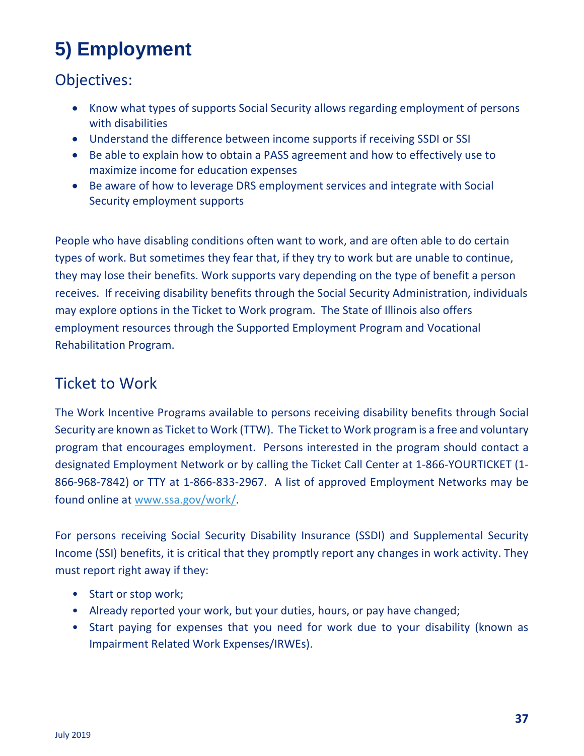# **5) Employment**

## Objectives:

- Know what types of supports Social Security allows regarding employment of persons with disabilities
- Understand the difference between income supports if receiving SSDI or SSI
- Be able to explain how to obtain a PASS agreement and how to effectively use to maximize income for education expenses
- Be aware of how to leverage DRS employment services and integrate with Social Security employment supports

People who have disabling conditions often want to work, and are often able to do certain types of work. But sometimes they fear that, if they try to work but are unable to continue, they may lose their benefits. Work supports vary depending on the type of benefit a person receives. If receiving disability benefits through the Social Security Administration, individuals may explore options in the Ticket to Work program. The State of Illinois also offers employment resources through the Supported Employment Program and Vocational Rehabilitation Program.

## Ticket to Work

The Work Incentive Programs available to persons receiving disability benefits through Social Security are known as Ticket to Work (TTW). The Ticket to Work program is a free and voluntary program that encourages employment. Persons interested in the program should contact a designated Employment Network or by calling the Ticket Call Center at 1-866-YOURTICKET (1- 866-968-7842) or TTY at 1-866-833-2967. A list of approved Employment Networks may be found online at [www.ssa.gov/work/.](http://www.ssa.gov/work/)

For persons receiving Social Security Disability Insurance (SSDI) and Supplemental Security Income (SSI) benefits, it is critical that they promptly report any changes in work activity. They must report right away if they:

- Start or stop work;
- Already reported your work, but your duties, hours, or pay have changed;
- Start paying for expenses that you need for work due to your disability (known as Impairment Related Work Expenses/IRWEs).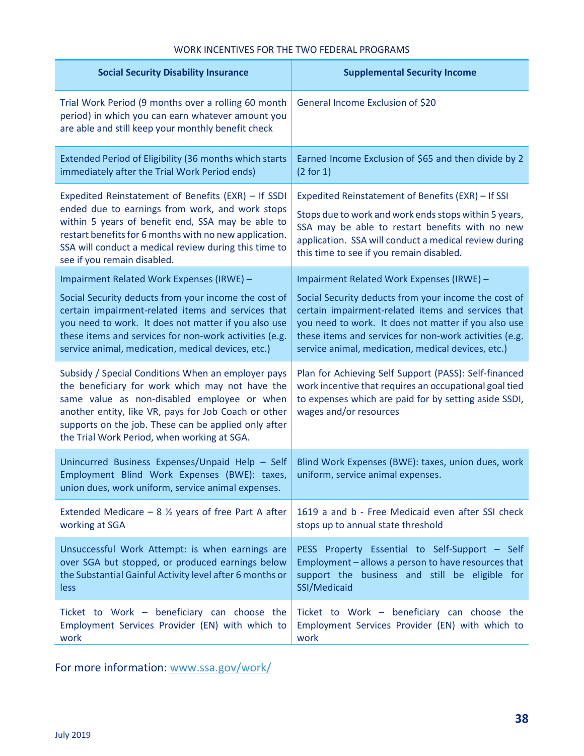#### WORK INCENTIVES FOR THE TWO FEDERAL PROGRAMS

| <b>Social Security Disability Insurance</b>                                                                                                                                                                                                                                                                         | <b>Supplemental Security Income</b>                                                                                                                                                                                                                                 |
|---------------------------------------------------------------------------------------------------------------------------------------------------------------------------------------------------------------------------------------------------------------------------------------------------------------------|---------------------------------------------------------------------------------------------------------------------------------------------------------------------------------------------------------------------------------------------------------------------|
| Trial Work Period (9 months over a rolling 60 month<br>period) in which you can earn whatever amount you<br>are able and still keep your monthly benefit check                                                                                                                                                      | General Income Exclusion of \$20                                                                                                                                                                                                                                    |
| Extended Period of Eligibility (36 months which starts                                                                                                                                                                                                                                                              | Earned Income Exclusion of \$65 and then divide by 2                                                                                                                                                                                                                |
| immediately after the Trial Work Period ends)                                                                                                                                                                                                                                                                       | (2 for 1)                                                                                                                                                                                                                                                           |
| Expedited Reinstatement of Benefits (EXR) - If SSDI<br>ended due to earnings from work, and work stops<br>within 5 years of benefit end, SSA may be able to<br>restart benefits for 6 months with no new application.<br>SSA will conduct a medical review during this time to<br>see if you remain disabled.       | Expedited Reinstatement of Benefits (EXR) - If SSI<br>Stops due to work and work ends stops within 5 years,<br>SSA may be able to restart benefits with no new<br>application. SSA will conduct a medical review during<br>this time to see if you remain disabled. |
| Impairment Related Work Expenses (IRWE) -                                                                                                                                                                                                                                                                           | Impairment Related Work Expenses (IRWE) -                                                                                                                                                                                                                           |
| Social Security deducts from your income the cost of                                                                                                                                                                                                                                                                | Social Security deducts from your income the cost of                                                                                                                                                                                                                |
| certain impairment-related items and services that                                                                                                                                                                                                                                                                  | certain impairment-related items and services that                                                                                                                                                                                                                  |
| you need to work. It does not matter if you also use                                                                                                                                                                                                                                                                | you need to work. It does not matter if you also use                                                                                                                                                                                                                |
| these items and services for non-work activities (e.g.                                                                                                                                                                                                                                                              | these items and services for non-work activities (e.g.                                                                                                                                                                                                              |
| service animal, medication, medical devices, etc.)                                                                                                                                                                                                                                                                  | service animal, medication, medical devices, etc.)                                                                                                                                                                                                                  |
| Subsidy / Special Conditions When an employer pays<br>the beneficiary for work which may not have the<br>same value as non-disabled employee or when<br>another entity, like VR, pays for Job Coach or other<br>supports on the job. These can be applied only after<br>the Trial Work Period, when working at SGA. | Plan for Achieving Self Support (PASS): Self-financed<br>work incentive that requires an occupational goal tied<br>to expenses which are paid for by setting aside SSDI,<br>wages and/or resources                                                                  |
| Unincurred Business Expenses/Unpaid Help - Self<br>Employment Blind Work Expenses (BWE): taxes,<br>union dues, work uniform, service animal expenses.                                                                                                                                                               | Blind Work Expenses (BWE): taxes, union dues, work<br>uniform, service animal expenses.                                                                                                                                                                             |
| Extended Medicare $-8\frac{1}{2}$ years of free Part A after                                                                                                                                                                                                                                                        | 1619 a and b - Free Medicaid even after SSI check                                                                                                                                                                                                                   |
| working at SGA                                                                                                                                                                                                                                                                                                      | stops up to annual state threshold                                                                                                                                                                                                                                  |
| Unsuccessful Work Attempt: is when earnings are                                                                                                                                                                                                                                                                     | PESS Property Essential to Self-Support - Self                                                                                                                                                                                                                      |
| over SGA but stopped, or produced earnings below                                                                                                                                                                                                                                                                    | Employment - allows a person to have resources that                                                                                                                                                                                                                 |
| the Substantial Gainful Activity level after 6 months or                                                                                                                                                                                                                                                            | support the business and still be eligible for                                                                                                                                                                                                                      |
| less                                                                                                                                                                                                                                                                                                                | SSI/Medicaid                                                                                                                                                                                                                                                        |
| Ticket to Work - beneficiary can choose the                                                                                                                                                                                                                                                                         | Ticket to Work - beneficiary can choose the                                                                                                                                                                                                                         |
| Employment Services Provider (EN) with which to                                                                                                                                                                                                                                                                     | Employment Services Provider (EN) with which to                                                                                                                                                                                                                     |
| work                                                                                                                                                                                                                                                                                                                | work                                                                                                                                                                                                                                                                |

For more information: [www.ssa.gov/work/](http://www.ssa.gov/work/)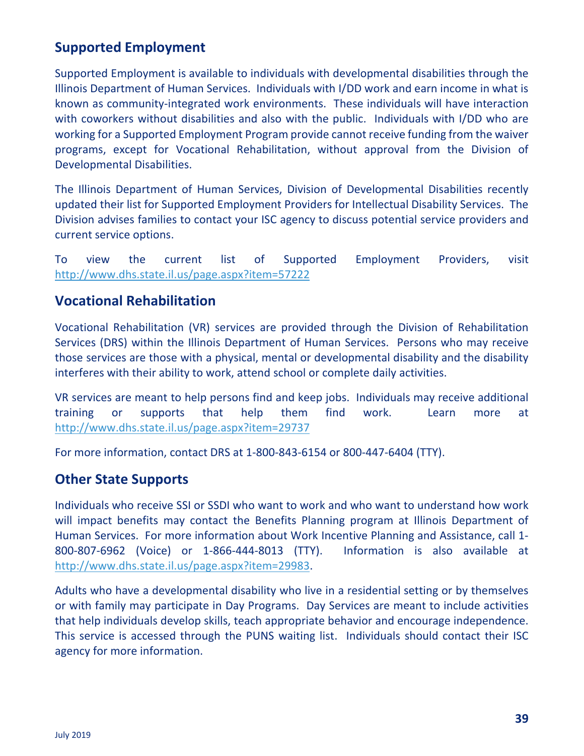#### **Supported Employment**

Supported Employment is available to individuals with developmental disabilities through the Illinois Department of Human Services. Individuals with I/DD work and earn income in what is known as community-integrated work environments. These individuals will have interaction with coworkers without disabilities and also with the public. Individuals with I/DD who are working for a Supported Employment Program provide cannot receive funding from the waiver programs, except for Vocational Rehabilitation, without approval from the Division of Developmental Disabilities.

The Illinois Department of Human Services, Division of Developmental Disabilities recently updated their list for Supported Employment Providers for Intellectual Disability Services. The Division advises families to contact your ISC agency to discuss potential service providers and current service options.

To view the current list of Supported Employment Providers, visit <http://www.dhs.state.il.us/page.aspx?item=57222>

#### **Vocational Rehabilitation**

Vocational Rehabilitation (VR) services are provided through the Division of Rehabilitation Services (DRS) within the Illinois Department of Human Services. Persons who may receive those services are those with a physical, mental or developmental disability and the disability interferes with their ability to work, attend school or complete daily activities.

VR services are meant to help persons find and keep jobs. Individuals may receive additional training or supports that help them find work. Learn more at <http://www.dhs.state.il.us/page.aspx?item=29737>

For more information, contact DRS at 1-800-843-6154 or 800-447-6404 (TTY).

#### **Other State Supports**

Individuals who receive SSI or SSDI who want to work and who want to understand how work will impact benefits may contact the Benefits Planning program at Illinois Department of Human Services. For more information about Work Incentive Planning and Assistance, call 1- 800-807-6962 (Voice) or 1-866-444-8013 (TTY). Information is also available at [http://www.dhs.state.il.us/page.aspx?item=29983.](http://www.dhs.state.il.us/page.aspx?item=29983)

Adults who have a developmental disability who live in a residential setting or by themselves or with family may participate in Day Programs. Day Services are meant to include activities that help individuals develop skills, teach appropriate behavior and encourage independence. This service is accessed through the PUNS waiting list. Individuals should contact their ISC agency for more information.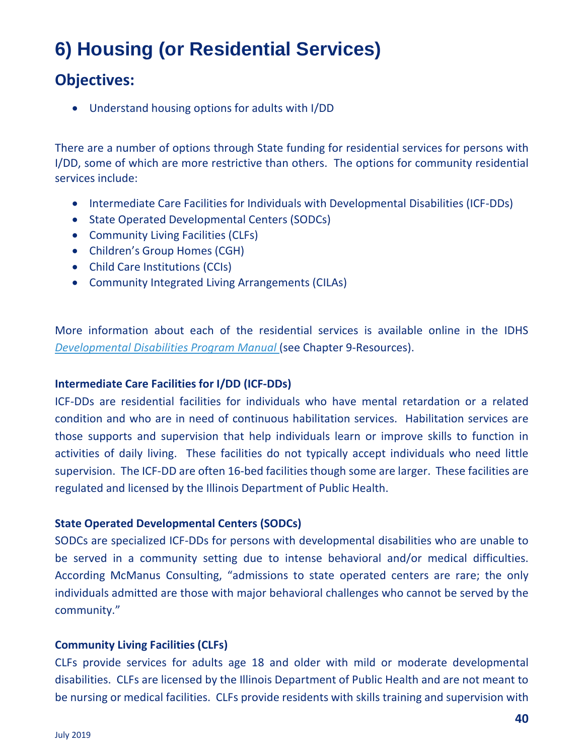# **6) Housing (or Residential Services)**

## **Objectives:**

• Understand housing options for adults with I/DD

There are a number of options through State funding for residential services for persons with I/DD, some of which are more restrictive than others. The options for community residential services include:

- Intermediate Care Facilities for Individuals with Developmental Disabilities (ICF-DDs)
- State Operated Developmental Centers (SODCs)
- Community Living Facilities (CLFs)
- Children's Group Homes (CGH)
- Child Care Institutions (CCIs)
- Community Integrated Living Arrangements (CILAs)

More information about each of the residential services is available online in the IDHS *[Developmental Disabilities Program Manual](http://www.dhs.state.il.us/page.aspx?item=103254#a_SupportedLivingArrangement)* (see Chapter 9-Resources).

#### **Intermediate Care Facilities for I/DD (ICF-DDs)**

ICF-DDs are residential facilities for individuals who have mental retardation or a related condition and who are in need of continuous habilitation services. Habilitation services are those supports and supervision that help individuals learn or improve skills to function in activities of daily living. These facilities do not typically accept individuals who need little supervision. The ICF-DD are often 16-bed facilities though some are larger. These facilities are regulated and licensed by the Illinois Department of Public Health.

#### **State Operated Developmental Centers (SODCs)**

SODCs are specialized ICF-DDs for persons with developmental disabilities who are unable to be served in a community setting due to intense behavioral and/or medical difficulties. According McManus Consulting, "admissions to state operated centers are rare; the only individuals admitted are those with major behavioral challenges who cannot be served by the community."

#### **Community Living Facilities (CLFs)**

CLFs provide services for adults age 18 and older with mild or moderate developmental disabilities. CLFs are licensed by the Illinois Department of Public Health and are not meant to be nursing or medical facilities. CLFs provide residents with skills training and supervision with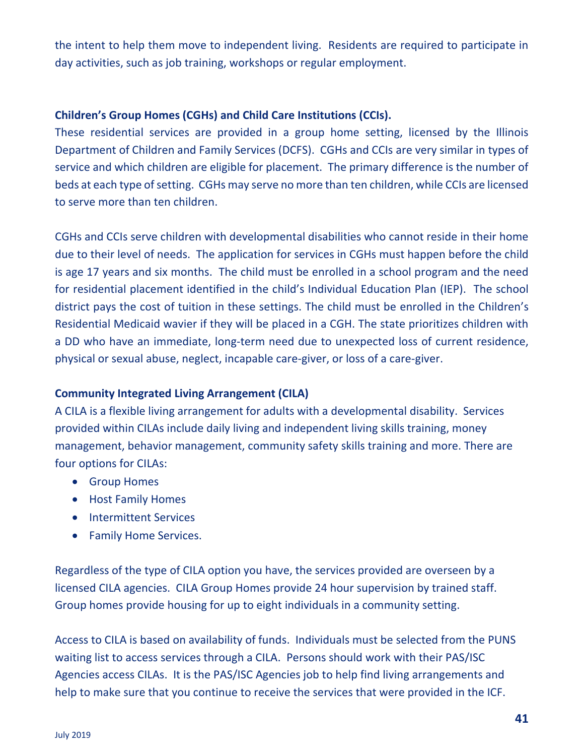the intent to help them move to independent living. Residents are required to participate in day activities, such as job training, workshops or regular employment.

#### **Children's Group Homes (CGHs) and Child Care Institutions (CCIs).**

These residential services are provided in a group home setting, licensed by the Illinois Department of Children and Family Services (DCFS). CGHs and CCIs are very similar in types of service and which children are eligible for placement. The primary difference is the number of beds at each type of setting. CGHs may serve no more than ten children, while CCIs are licensed to serve more than ten children.

CGHs and CCIs serve children with developmental disabilities who cannot reside in their home due to their level of needs. The application for services in CGHs must happen before the child is age 17 years and six months. The child must be enrolled in a school program and the need for residential placement identified in the child's Individual Education Plan (IEP). The school district pays the cost of tuition in these settings. The child must be enrolled in the Children's Residential Medicaid wavier if they will be placed in a CGH. The state prioritizes children with a DD who have an immediate, long-term need due to unexpected loss of current residence, physical or sexual abuse, neglect, incapable care-giver, or loss of a care-giver.

#### **Community Integrated Living Arrangement (CILA)**

A CILA is a flexible living arrangement for adults with a developmental disability. Services provided within CILAs include daily living and independent living skills training, money management, behavior management, community safety skills training and more. There are four options for CILAs:

- Group Homes
- Host Family Homes
- Intermittent Services
- Family Home Services.

Regardless of the type of CILA option you have, the services provided are overseen by a licensed CILA agencies. CILA Group Homes provide 24 hour supervision by trained staff. Group homes provide housing for up to eight individuals in a community setting.

Access to CILA is based on availability of funds. Individuals must be selected from the PUNS waiting list to access services through a CILA. Persons should work with their PAS/ISC Agencies access CILAs. It is the PAS/ISC Agencies job to help find living arrangements and help to make sure that you continue to receive the services that were provided in the ICF.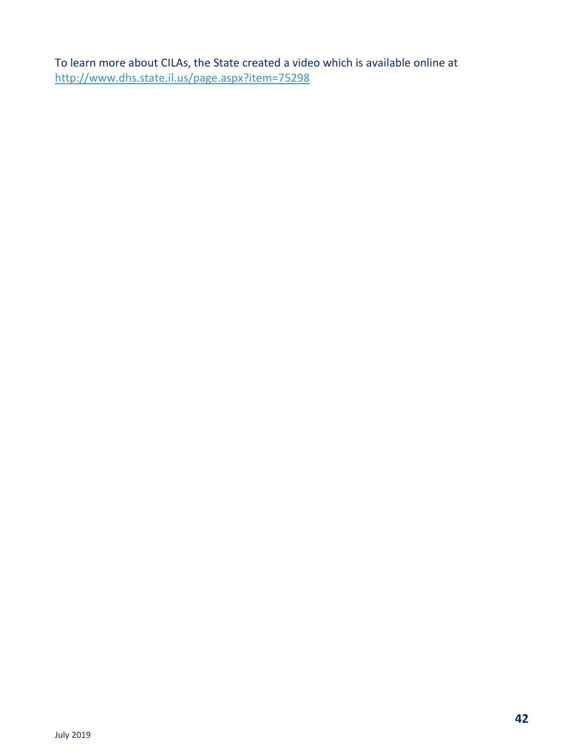To learn more about CILAs, the State created a video which is available online at <http://www.dhs.state.il.us/page.aspx?item=75298>